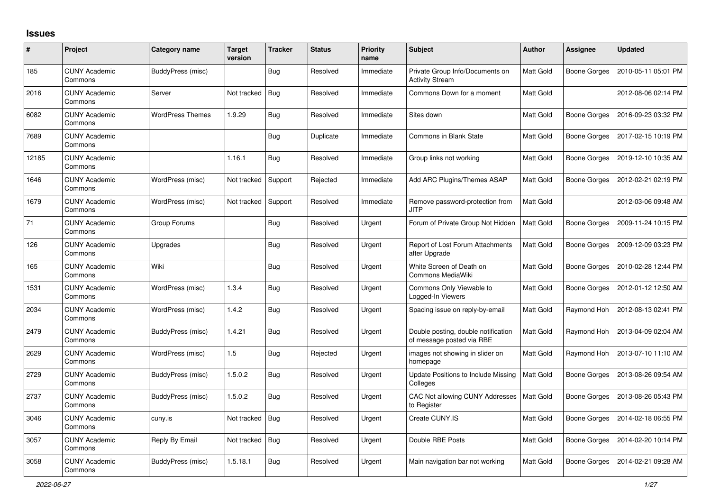## **Issues**

| #     | Project                         | Category name            | <b>Target</b><br>version | <b>Tracker</b> | <b>Status</b> | <b>Priority</b><br>name | <b>Subject</b>                                                   | <b>Author</b>    | <b>Assignee</b>     | <b>Updated</b>      |
|-------|---------------------------------|--------------------------|--------------------------|----------------|---------------|-------------------------|------------------------------------------------------------------|------------------|---------------------|---------------------|
| 185   | <b>CUNY Academic</b><br>Commons | BuddyPress (misc)        |                          | <b>Bug</b>     | Resolved      | Immediate               | Private Group Info/Documents on<br><b>Activity Stream</b>        | <b>Matt Gold</b> | <b>Boone Gorges</b> | 2010-05-11 05:01 PM |
| 2016  | <b>CUNY Academic</b><br>Commons | Server                   | Not tracked              | Bug            | Resolved      | Immediate               | Commons Down for a moment                                        | Matt Gold        |                     | 2012-08-06 02:14 PM |
| 6082  | <b>CUNY Academic</b><br>Commons | <b>WordPress Themes</b>  | 1.9.29                   | <b>Bug</b>     | Resolved      | Immediate               | Sites down                                                       | <b>Matt Gold</b> | <b>Boone Gorges</b> | 2016-09-23 03:32 PM |
| 7689  | <b>CUNY Academic</b><br>Commons |                          |                          | <b>Bug</b>     | Duplicate     | Immediate               | <b>Commons in Blank State</b>                                    | Matt Gold        | <b>Boone Gorges</b> | 2017-02-15 10:19 PM |
| 12185 | <b>CUNY Academic</b><br>Commons |                          | 1.16.1                   | <b>Bug</b>     | Resolved      | Immediate               | Group links not working                                          | <b>Matt Gold</b> | <b>Boone Gorges</b> | 2019-12-10 10:35 AM |
| 1646  | <b>CUNY Academic</b><br>Commons | WordPress (misc)         | Not tracked              | Support        | Rejected      | Immediate               | Add ARC Plugins/Themes ASAP                                      | Matt Gold        | Boone Gorges        | 2012-02-21 02:19 PM |
| 1679  | <b>CUNY Academic</b><br>Commons | WordPress (misc)         | Not tracked              | Support        | Resolved      | Immediate               | Remove password-protection from<br><b>JITP</b>                   | <b>Matt Gold</b> |                     | 2012-03-06 09:48 AM |
| 71    | <b>CUNY Academic</b><br>Commons | Group Forums             |                          | <b>Bug</b>     | Resolved      | Urgent                  | Forum of Private Group Not Hidden                                | <b>Matt Gold</b> | <b>Boone Gorges</b> | 2009-11-24 10:15 PM |
| 126   | <b>CUNY Academic</b><br>Commons | Upgrades                 |                          | <b>Bug</b>     | Resolved      | Urgent                  | Report of Lost Forum Attachments<br>after Upgrade                | Matt Gold        | <b>Boone Gorges</b> | 2009-12-09 03:23 PM |
| 165   | <b>CUNY Academic</b><br>Commons | Wiki                     |                          | <b>Bug</b>     | Resolved      | Urgent                  | White Screen of Death on<br>Commons MediaWiki                    | Matt Gold        | Boone Gorges        | 2010-02-28 12:44 PM |
| 1531  | <b>CUNY Academic</b><br>Commons | WordPress (misc)         | 1.3.4                    | <b>Bug</b>     | Resolved      | Urgent                  | Commons Only Viewable to<br>Logged-In Viewers                    | Matt Gold        | Boone Gorges        | 2012-01-12 12:50 AM |
| 2034  | <b>CUNY Academic</b><br>Commons | WordPress (misc)         | 1.4.2                    | <b>Bug</b>     | Resolved      | Urgent                  | Spacing issue on reply-by-email                                  | Matt Gold        | Raymond Hoh         | 2012-08-13 02:41 PM |
| 2479  | <b>CUNY Academic</b><br>Commons | <b>BuddyPress (misc)</b> | 1.4.21                   | <b>Bug</b>     | Resolved      | Urgent                  | Double posting, double notification<br>of message posted via RBE | Matt Gold        | Raymond Hoh         | 2013-04-09 02:04 AM |
| 2629  | <b>CUNY Academic</b><br>Commons | WordPress (misc)         | 1.5                      | <b>Bug</b>     | Rejected      | Urgent                  | images not showing in slider on<br>homepage                      | Matt Gold        | Raymond Hoh         | 2013-07-10 11:10 AM |
| 2729  | <b>CUNY Academic</b><br>Commons | <b>BuddyPress (misc)</b> | 1.5.0.2                  | <b>Bug</b>     | Resolved      | Urgent                  | Update Positions to Include Missing<br>Colleges                  | Matt Gold        | <b>Boone Gorges</b> | 2013-08-26 09:54 AM |
| 2737  | <b>CUNY Academic</b><br>Commons | <b>BuddyPress (misc)</b> | 1.5.0.2                  | <b>Bug</b>     | Resolved      | Urgent                  | CAC Not allowing CUNY Addresses<br>to Register                   | <b>Matt Gold</b> | <b>Boone Gorges</b> | 2013-08-26 05:43 PM |
| 3046  | <b>CUNY Academic</b><br>Commons | cuny.is                  | Not tracked              | <b>Bug</b>     | Resolved      | Urgent                  | Create CUNY.IS                                                   | Matt Gold        | <b>Boone Gorges</b> | 2014-02-18 06:55 PM |
| 3057  | <b>CUNY Academic</b><br>Commons | Reply By Email           | Not tracked              | <b>Bug</b>     | Resolved      | Urgent                  | Double RBE Posts                                                 | <b>Matt Gold</b> | Boone Gorges        | 2014-02-20 10:14 PM |
| 3058  | <b>CUNY Academic</b><br>Commons | BuddyPress (misc)        | 1.5.18.1                 | <b>Bug</b>     | Resolved      | Urgent                  | Main navigation bar not working                                  | <b>Matt Gold</b> | <b>Boone Gorges</b> | 2014-02-21 09:28 AM |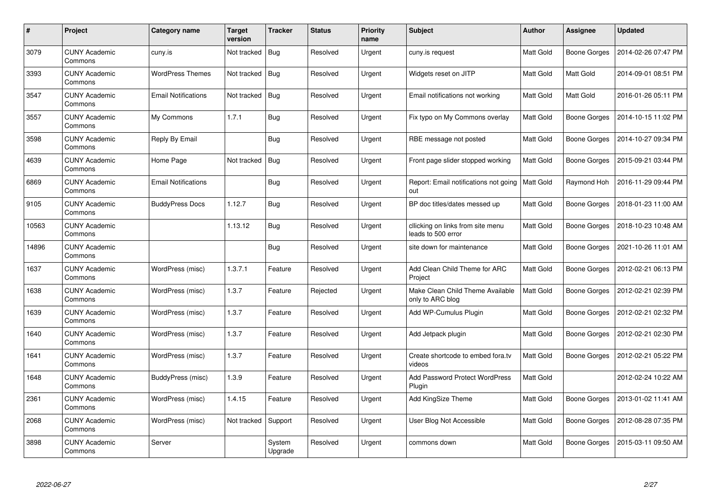| $\#$  | Project                         | <b>Category name</b>       | <b>Target</b><br>version | <b>Tracker</b>    | <b>Status</b> | <b>Priority</b><br>name | <b>Subject</b>                                          | Author           | <b>Assignee</b> | <b>Updated</b>      |
|-------|---------------------------------|----------------------------|--------------------------|-------------------|---------------|-------------------------|---------------------------------------------------------|------------------|-----------------|---------------------|
| 3079  | <b>CUNY Academic</b><br>Commons | cuny.is                    | Not tracked              | <b>Bug</b>        | Resolved      | Urgent                  | cuny.is request                                         | <b>Matt Gold</b> | Boone Gorges    | 2014-02-26 07:47 PM |
| 3393  | <b>CUNY Academic</b><br>Commons | <b>WordPress Themes</b>    | Not tracked              | Bug               | Resolved      | Urgent                  | Widgets reset on JITP                                   | Matt Gold        | Matt Gold       | 2014-09-01 08:51 PM |
| 3547  | <b>CUNY Academic</b><br>Commons | <b>Email Notifications</b> | Not tracked              | <b>Bug</b>        | Resolved      | Urgent                  | Email notifications not working                         | Matt Gold        | Matt Gold       | 2016-01-26 05:11 PM |
| 3557  | <b>CUNY Academic</b><br>Commons | My Commons                 | 1.7.1                    | Bug               | Resolved      | Urgent                  | Fix typo on My Commons overlay                          | Matt Gold        | Boone Gorges    | 2014-10-15 11:02 PM |
| 3598  | <b>CUNY Academic</b><br>Commons | Reply By Email             |                          | <b>Bug</b>        | Resolved      | Urgent                  | RBE message not posted                                  | <b>Matt Gold</b> | Boone Gorges    | 2014-10-27 09:34 PM |
| 4639  | <b>CUNY Academic</b><br>Commons | Home Page                  | Not tracked              | <b>Bug</b>        | Resolved      | Urgent                  | Front page slider stopped working                       | Matt Gold        | Boone Gorges    | 2015-09-21 03:44 PM |
| 6869  | <b>CUNY Academic</b><br>Commons | <b>Email Notifications</b> |                          | <b>Bug</b>        | Resolved      | Urgent                  | Report: Email notifications not going<br>out            | Matt Gold        | Raymond Hoh     | 2016-11-29 09:44 PM |
| 9105  | <b>CUNY Academic</b><br>Commons | <b>BuddyPress Docs</b>     | 1.12.7                   | Bug               | Resolved      | Urgent                  | BP doc titles/dates messed up                           | Matt Gold        | Boone Gorges    | 2018-01-23 11:00 AM |
| 10563 | <b>CUNY Academic</b><br>Commons |                            | 1.13.12                  | <b>Bug</b>        | Resolved      | Urgent                  | cllicking on links from site menu<br>leads to 500 error | Matt Gold        | Boone Gorges    | 2018-10-23 10:48 AM |
| 14896 | <b>CUNY Academic</b><br>Commons |                            |                          | <b>Bug</b>        | Resolved      | Urgent                  | site down for maintenance                               | Matt Gold        | Boone Gorges    | 2021-10-26 11:01 AM |
| 1637  | <b>CUNY Academic</b><br>Commons | WordPress (misc)           | 1.3.7.1                  | Feature           | Resolved      | Urgent                  | Add Clean Child Theme for ARC<br>Project                | Matt Gold        | Boone Gorges    | 2012-02-21 06:13 PM |
| 1638  | <b>CUNY Academic</b><br>Commons | WordPress (misc)           | 1.3.7                    | Feature           | Rejected      | Urgent                  | Make Clean Child Theme Available<br>only to ARC blog    | Matt Gold        | Boone Gorges    | 2012-02-21 02:39 PM |
| 1639  | <b>CUNY Academic</b><br>Commons | WordPress (misc)           | 1.3.7                    | Feature           | Resolved      | Urgent                  | Add WP-Cumulus Plugin                                   | Matt Gold        | Boone Gorges    | 2012-02-21 02:32 PM |
| 1640  | <b>CUNY Academic</b><br>Commons | WordPress (misc)           | 1.3.7                    | Feature           | Resolved      | Urgent                  | Add Jetpack plugin                                      | Matt Gold        | Boone Gorges    | 2012-02-21 02:30 PM |
| 1641  | <b>CUNY Academic</b><br>Commons | WordPress (misc)           | 1.3.7                    | Feature           | Resolved      | Urgent                  | Create shortcode to embed fora.tv<br>videos             | Matt Gold        | Boone Gorges    | 2012-02-21 05:22 PM |
| 1648  | <b>CUNY Academic</b><br>Commons | <b>BuddyPress (misc)</b>   | 1.3.9                    | Feature           | Resolved      | Urgent                  | Add Password Protect WordPress<br>Plugin                | Matt Gold        |                 | 2012-02-24 10:22 AM |
| 2361  | <b>CUNY Academic</b><br>Commons | WordPress (misc)           | 1.4.15                   | Feature           | Resolved      | Urgent                  | Add KingSize Theme                                      | Matt Gold        | Boone Gorges    | 2013-01-02 11:41 AM |
| 2068  | <b>CUNY Academic</b><br>Commons | WordPress (misc)           | Not tracked              | Support           | Resolved      | Urgent                  | User Blog Not Accessible                                | Matt Gold        | Boone Gorges    | 2012-08-28 07:35 PM |
| 3898  | <b>CUNY Academic</b><br>Commons | Server                     |                          | System<br>Upgrade | Resolved      | Urgent                  | commons down                                            | Matt Gold        | Boone Gorges    | 2015-03-11 09:50 AM |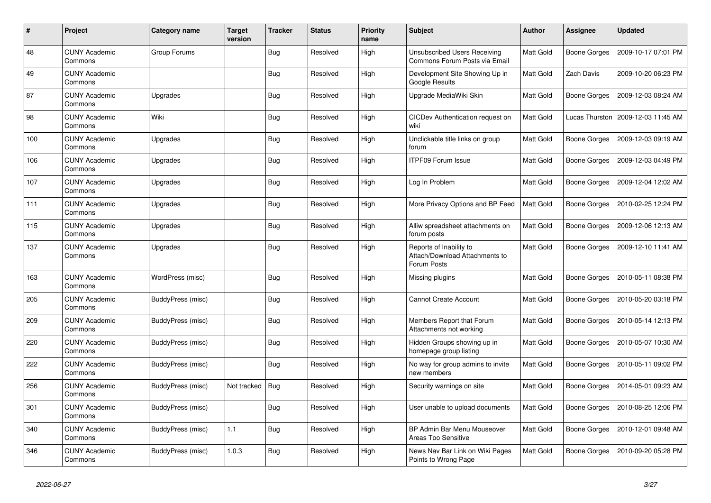| #   | Project                         | Category name     | <b>Target</b><br>version | Tracker    | <b>Status</b> | <b>Priority</b><br>name | <b>Subject</b>                                                           | <b>Author</b>    | Assignee            | <b>Updated</b>        |
|-----|---------------------------------|-------------------|--------------------------|------------|---------------|-------------------------|--------------------------------------------------------------------------|------------------|---------------------|-----------------------|
| 48  | <b>CUNY Academic</b><br>Commons | Group Forums      |                          | <b>Bug</b> | Resolved      | High                    | Unsubscribed Users Receiving<br>Commons Forum Posts via Email            | <b>Matt Gold</b> | <b>Boone Gorges</b> | 2009-10-17 07:01 PM   |
| 49  | <b>CUNY Academic</b><br>Commons |                   |                          | Bug        | Resolved      | High                    | Development Site Showing Up in<br>Google Results                         | Matt Gold        | <b>Zach Davis</b>   | 2009-10-20 06:23 PM   |
| 87  | <b>CUNY Academic</b><br>Commons | Upgrades          |                          | Bug        | Resolved      | High                    | Upgrade MediaWiki Skin                                                   | Matt Gold        | Boone Gorges        | 2009-12-03 08:24 AM   |
| 98  | <b>CUNY Academic</b><br>Commons | Wiki              |                          | <b>Bug</b> | Resolved      | High                    | CICDev Authentication request on<br>wiki                                 | Matt Gold        | Lucas Thurston      | l 2009-12-03 11:45 AM |
| 100 | <b>CUNY Academic</b><br>Commons | Upgrades          |                          | <b>Bug</b> | Resolved      | High                    | Unclickable title links on group<br>forum                                | Matt Gold        | <b>Boone Gorges</b> | 2009-12-03 09:19 AM   |
| 106 | <b>CUNY Academic</b><br>Commons | Upgrades          |                          | <b>Bug</b> | Resolved      | High                    | ITPF09 Forum Issue                                                       | Matt Gold        | Boone Gorges        | 2009-12-03 04:49 PM   |
| 107 | <b>CUNY Academic</b><br>Commons | Upgrades          |                          | <b>Bug</b> | Resolved      | High                    | Log In Problem                                                           | Matt Gold        | <b>Boone Gorges</b> | 2009-12-04 12:02 AM   |
| 111 | <b>CUNY Academic</b><br>Commons | Upgrades          |                          | <b>Bug</b> | Resolved      | High                    | More Privacy Options and BP Feed                                         | Matt Gold        | Boone Gorges        | 2010-02-25 12:24 PM   |
| 115 | <b>CUNY Academic</b><br>Commons | Upgrades          |                          | Bug        | Resolved      | High                    | Alliw spreadsheet attachments on<br>forum posts                          | Matt Gold        | <b>Boone Gorges</b> | 2009-12-06 12:13 AM   |
| 137 | <b>CUNY Academic</b><br>Commons | Upgrades          |                          | <b>Bug</b> | Resolved      | High                    | Reports of Inability to<br>Attach/Download Attachments to<br>Forum Posts | Matt Gold        | <b>Boone Gorges</b> | 2009-12-10 11:41 AM   |
| 163 | <b>CUNY Academic</b><br>Commons | WordPress (misc)  |                          | Bug        | Resolved      | High                    | Missing plugins                                                          | Matt Gold        | <b>Boone Gorges</b> | 2010-05-11 08:38 PM   |
| 205 | <b>CUNY Academic</b><br>Commons | BuddyPress (misc) |                          | <b>Bug</b> | Resolved      | High                    | <b>Cannot Create Account</b>                                             | Matt Gold        | Boone Gorges        | 2010-05-20 03:18 PM   |
| 209 | <b>CUNY Academic</b><br>Commons | BuddyPress (misc) |                          | Bug        | Resolved      | High                    | Members Report that Forum<br>Attachments not working                     | Matt Gold        | <b>Boone Gorges</b> | 2010-05-14 12:13 PM   |
| 220 | <b>CUNY Academic</b><br>Commons | BuddyPress (misc) |                          | <b>Bug</b> | Resolved      | High                    | Hidden Groups showing up in<br>homepage group listing                    | Matt Gold        | Boone Gorges        | 2010-05-07 10:30 AM   |
| 222 | <b>CUNY Academic</b><br>Commons | BuddyPress (misc) |                          | <b>Bug</b> | Resolved      | High                    | No way for group admins to invite<br>new members                         | Matt Gold        | <b>Boone Gorges</b> | 2010-05-11 09:02 PM   |
| 256 | <b>CUNY Academic</b><br>Commons | BuddyPress (misc) | Not tracked              | Bug        | Resolved      | High                    | Security warnings on site                                                | Matt Gold        | <b>Boone Gorges</b> | 2014-05-01 09:23 AM   |
| 301 | <b>CUNY Academic</b><br>Commons | BuddyPress (misc) |                          | <b>Bug</b> | Resolved      | High                    | User unable to upload documents                                          | Matt Gold        | Boone Gorges        | 2010-08-25 12:06 PM   |
| 340 | <b>CUNY Academic</b><br>Commons | BuddyPress (misc) | 1.1                      | <b>Bug</b> | Resolved      | High                    | BP Admin Bar Menu Mouseover<br>Areas Too Sensitive                       | Matt Gold        | <b>Boone Gorges</b> | 2010-12-01 09:48 AM   |
| 346 | <b>CUNY Academic</b><br>Commons | BuddyPress (misc) | 1.0.3                    | <b>Bug</b> | Resolved      | High                    | News Nav Bar Link on Wiki Pages<br>Points to Wrong Page                  | Matt Gold        | <b>Boone Gorges</b> | 2010-09-20 05:28 PM   |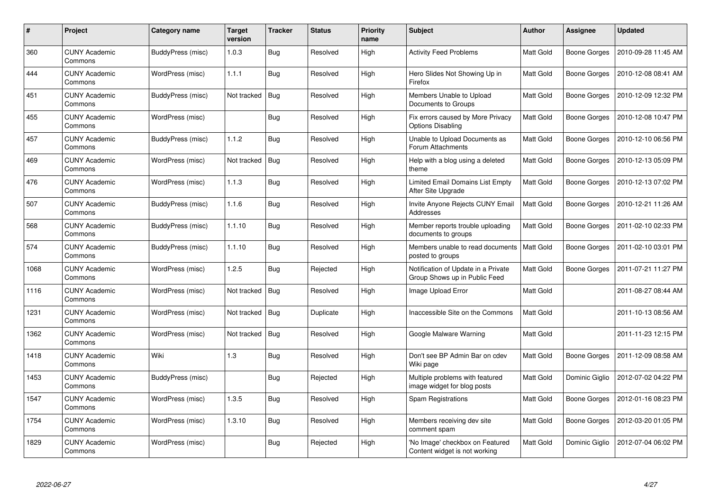| $\#$ | <b>Project</b>                  | Category name            | <b>Target</b><br>version | Tracker    | <b>Status</b> | <b>Priority</b><br>name | <b>Subject</b>                                                       | <b>Author</b>    | Assignee       | <b>Updated</b>      |
|------|---------------------------------|--------------------------|--------------------------|------------|---------------|-------------------------|----------------------------------------------------------------------|------------------|----------------|---------------------|
| 360  | <b>CUNY Academic</b><br>Commons | BuddyPress (misc)        | 1.0.3                    | <b>Bug</b> | Resolved      | High                    | <b>Activity Feed Problems</b>                                        | Matt Gold        | Boone Gorges   | 2010-09-28 11:45 AM |
| 444  | <b>CUNY Academic</b><br>Commons | WordPress (misc)         | 1.1.1                    | Bug        | Resolved      | High                    | Hero Slides Not Showing Up in<br>Firefox                             | Matt Gold        | Boone Gorges   | 2010-12-08 08:41 AM |
| 451  | <b>CUNY Academic</b><br>Commons | BuddyPress (misc)        | Not tracked              | Bug        | Resolved      | High                    | Members Unable to Upload<br>Documents to Groups                      | Matt Gold        | Boone Gorges   | 2010-12-09 12:32 PM |
| 455  | <b>CUNY Academic</b><br>Commons | WordPress (misc)         |                          | Bug        | Resolved      | High                    | Fix errors caused by More Privacy<br>Options Disabling               | Matt Gold        | Boone Gorges   | 2010-12-08 10:47 PM |
| 457  | <b>CUNY Academic</b><br>Commons | <b>BuddyPress</b> (misc) | 1.1.2                    | Bug        | Resolved      | High                    | Unable to Upload Documents as<br>Forum Attachments                   | Matt Gold        | Boone Gorges   | 2010-12-10 06:56 PM |
| 469  | <b>CUNY Academic</b><br>Commons | WordPress (misc)         | Not tracked              | <b>Bug</b> | Resolved      | High                    | Help with a blog using a deleted<br>theme                            | Matt Gold        | Boone Gorges   | 2010-12-13 05:09 PM |
| 476  | <b>CUNY Academic</b><br>Commons | WordPress (misc)         | 1.1.3                    | <b>Bug</b> | Resolved      | High                    | Limited Email Domains List Empty<br>After Site Upgrade               | Matt Gold        | Boone Gorges   | 2010-12-13 07:02 PM |
| 507  | <b>CUNY Academic</b><br>Commons | BuddyPress (misc)        | 1.1.6                    | Bug        | Resolved      | High                    | Invite Anyone Rejects CUNY Email<br>Addresses                        | Matt Gold        | Boone Gorges   | 2010-12-21 11:26 AM |
| 568  | <b>CUNY Academic</b><br>Commons | BuddyPress (misc)        | 1.1.10                   | <b>Bug</b> | Resolved      | High                    | Member reports trouble uploading<br>documents to groups              | Matt Gold        | Boone Gorges   | 2011-02-10 02:33 PM |
| 574  | <b>CUNY Academic</b><br>Commons | BuddyPress (misc)        | 1.1.10                   | <b>Bug</b> | Resolved      | High                    | Members unable to read documents<br>posted to groups                 | <b>Matt Gold</b> | Boone Gorges   | 2011-02-10 03:01 PM |
| 1068 | <b>CUNY Academic</b><br>Commons | WordPress (misc)         | 1.2.5                    | Bug        | Rejected      | High                    | Notification of Update in a Private<br>Group Shows up in Public Feed | Matt Gold        | Boone Gorges   | 2011-07-21 11:27 PM |
| 1116 | <b>CUNY Academic</b><br>Commons | WordPress (misc)         | Not tracked              | <b>Bug</b> | Resolved      | High                    | Image Upload Error                                                   | Matt Gold        |                | 2011-08-27 08:44 AM |
| 1231 | <b>CUNY Academic</b><br>Commons | WordPress (misc)         | Not tracked              | <b>Bug</b> | Duplicate     | High                    | Inaccessible Site on the Commons                                     | Matt Gold        |                | 2011-10-13 08:56 AM |
| 1362 | <b>CUNY Academic</b><br>Commons | WordPress (misc)         | Not tracked              | Bug        | Resolved      | High                    | Google Malware Warning                                               | Matt Gold        |                | 2011-11-23 12:15 PM |
| 1418 | <b>CUNY Academic</b><br>Commons | Wiki                     | 1.3                      | <b>Bug</b> | Resolved      | High                    | Don't see BP Admin Bar on cdev<br>Wiki page                          | Matt Gold        | Boone Gorges   | 2011-12-09 08:58 AM |
| 1453 | <b>CUNY Academic</b><br>Commons | BuddyPress (misc)        |                          | <b>Bug</b> | Rejected      | High                    | Multiple problems with featured<br>image widget for blog posts       | Matt Gold        | Dominic Giglio | 2012-07-02 04:22 PM |
| 1547 | <b>CUNY Academic</b><br>Commons | WordPress (misc)         | 1.3.5                    | Bug        | Resolved      | High                    | <b>Spam Registrations</b>                                            | Matt Gold        | Boone Gorges   | 2012-01-16 08:23 PM |
| 1754 | <b>CUNY Academic</b><br>Commons | WordPress (misc)         | 1.3.10                   | <b>Bug</b> | Resolved      | High                    | Members receiving dev site<br>comment spam                           | Matt Gold        | Boone Gorges   | 2012-03-20 01:05 PM |
| 1829 | <b>CUNY Academic</b><br>Commons | WordPress (misc)         |                          | <b>Bug</b> | Rejected      | High                    | 'No Image' checkbox on Featured<br>Content widget is not working     | Matt Gold        | Dominic Giglio | 2012-07-04 06:02 PM |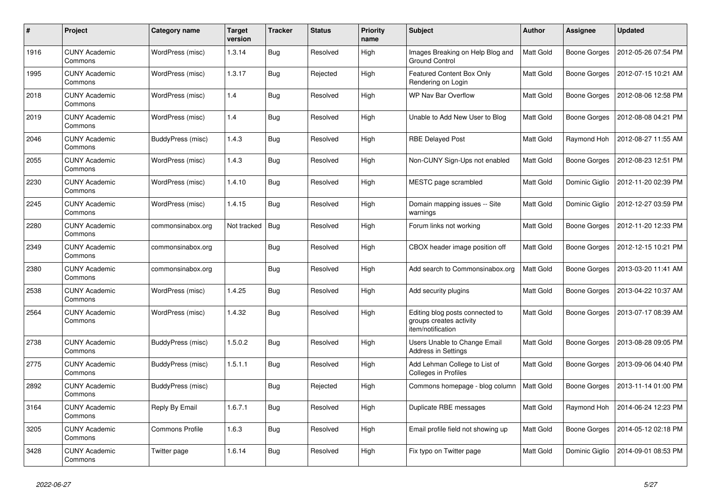| #    | Project                         | Category name            | <b>Target</b><br>version | <b>Tracker</b> | <b>Status</b> | <b>Priority</b><br>name | <b>Subject</b>                                                                  | <b>Author</b>    | Assignee            | <b>Updated</b>      |
|------|---------------------------------|--------------------------|--------------------------|----------------|---------------|-------------------------|---------------------------------------------------------------------------------|------------------|---------------------|---------------------|
| 1916 | <b>CUNY Academic</b><br>Commons | WordPress (misc)         | 1.3.14                   | <b>Bug</b>     | Resolved      | High                    | Images Breaking on Help Blog and<br><b>Ground Control</b>                       | <b>Matt Gold</b> | Boone Gorges        | 2012-05-26 07:54 PM |
| 1995 | <b>CUNY Academic</b><br>Commons | WordPress (misc)         | 1.3.17                   | <b>Bug</b>     | Rejected      | High                    | <b>Featured Content Box Only</b><br>Rendering on Login                          | <b>Matt Gold</b> | <b>Boone Gorges</b> | 2012-07-15 10:21 AM |
| 2018 | <b>CUNY Academic</b><br>Commons | WordPress (misc)         | 1.4                      | <b>Bug</b>     | Resolved      | High                    | WP Nav Bar Overflow                                                             | Matt Gold        | Boone Gorges        | 2012-08-06 12:58 PM |
| 2019 | <b>CUNY Academic</b><br>Commons | WordPress (misc)         | 1.4                      | <b>Bug</b>     | Resolved      | High                    | Unable to Add New User to Blog                                                  | Matt Gold        | Boone Gorges        | 2012-08-08 04:21 PM |
| 2046 | <b>CUNY Academic</b><br>Commons | <b>BuddyPress (misc)</b> | 1.4.3                    | Bug            | Resolved      | High                    | <b>RBE Delayed Post</b>                                                         | Matt Gold        | Raymond Hoh         | 2012-08-27 11:55 AM |
| 2055 | <b>CUNY Academic</b><br>Commons | WordPress (misc)         | 1.4.3                    | <b>Bug</b>     | Resolved      | High                    | Non-CUNY Sign-Ups not enabled                                                   | Matt Gold        | Boone Gorges        | 2012-08-23 12:51 PM |
| 2230 | <b>CUNY Academic</b><br>Commons | WordPress (misc)         | 1.4.10                   | <b>Bug</b>     | Resolved      | High                    | MESTC page scrambled                                                            | <b>Matt Gold</b> | Dominic Giglio      | 2012-11-20 02:39 PM |
| 2245 | <b>CUNY Academic</b><br>Commons | WordPress (misc)         | 1.4.15                   | <b>Bug</b>     | Resolved      | High                    | Domain mapping issues -- Site<br>warnings                                       | Matt Gold        | Dominic Giglio      | 2012-12-27 03:59 PM |
| 2280 | <b>CUNY Academic</b><br>Commons | commonsinabox.org        | Not tracked              | <b>Bug</b>     | Resolved      | High                    | Forum links not working                                                         | <b>Matt Gold</b> | <b>Boone Gorges</b> | 2012-11-20 12:33 PM |
| 2349 | <b>CUNY Academic</b><br>Commons | commonsinabox.org        |                          | <b>Bug</b>     | Resolved      | High                    | CBOX header image position off                                                  | Matt Gold        | Boone Gorges        | 2012-12-15 10:21 PM |
| 2380 | <b>CUNY Academic</b><br>Commons | commonsinabox.org        |                          | <b>Bug</b>     | Resolved      | High                    | Add search to Commonsinabox.org                                                 | Matt Gold        | Boone Gorges        | 2013-03-20 11:41 AM |
| 2538 | <b>CUNY Academic</b><br>Commons | WordPress (misc)         | 1.4.25                   | Bug            | Resolved      | High                    | Add security plugins                                                            | <b>Matt Gold</b> | Boone Gorges        | 2013-04-22 10:37 AM |
| 2564 | <b>CUNY Academic</b><br>Commons | WordPress (misc)         | 1.4.32                   | Bug            | Resolved      | High                    | Editing blog posts connected to<br>groups creates activity<br>item/notification | Matt Gold        | Boone Gorges        | 2013-07-17 08:39 AM |
| 2738 | <b>CUNY Academic</b><br>Commons | BuddyPress (misc)        | 1.5.0.2                  | Bug            | Resolved      | High                    | Users Unable to Change Email<br><b>Address in Settings</b>                      | Matt Gold        | <b>Boone Gorges</b> | 2013-08-28 09:05 PM |
| 2775 | <b>CUNY Academic</b><br>Commons | BuddyPress (misc)        | 1.5.1.1                  | <b>Bug</b>     | Resolved      | High                    | Add Lehman College to List of<br>Colleges in Profiles                           | Matt Gold        | Boone Gorges        | 2013-09-06 04:40 PM |
| 2892 | <b>CUNY Academic</b><br>Commons | <b>BuddyPress (misc)</b> |                          | <b>Bug</b>     | Rejected      | High                    | Commons homepage - blog column                                                  | <b>Matt Gold</b> | Boone Gorges        | 2013-11-14 01:00 PM |
| 3164 | <b>CUNY Academic</b><br>Commons | Reply By Email           | 1.6.7.1                  | <b>Bug</b>     | Resolved      | High                    | Duplicate RBE messages                                                          | Matt Gold        | Raymond Hoh         | 2014-06-24 12:23 PM |
| 3205 | <b>CUNY Academic</b><br>Commons | <b>Commons Profile</b>   | 1.6.3                    | <b>Bug</b>     | Resolved      | High                    | Email profile field not showing up                                              | <b>Matt Gold</b> | <b>Boone Gorges</b> | 2014-05-12 02:18 PM |
| 3428 | <b>CUNY Academic</b><br>Commons | Twitter page             | 1.6.14                   | Bug            | Resolved      | High                    | Fix typo on Twitter page                                                        | Matt Gold        | Dominic Giglio      | 2014-09-01 08:53 PM |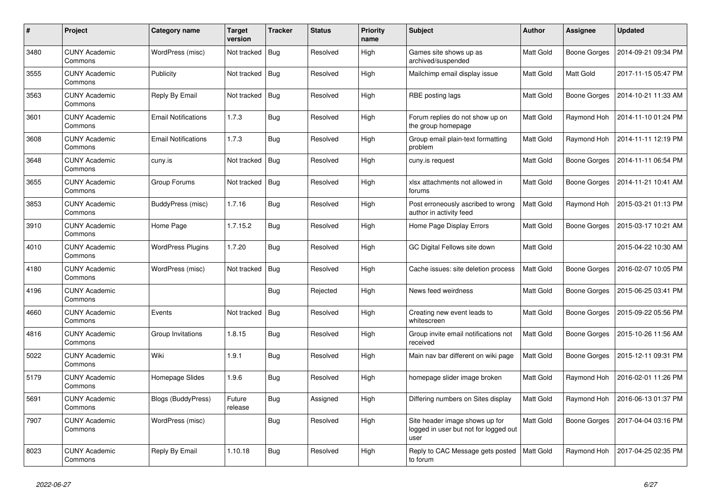| $\#$ | Project                         | Category name              | <b>Target</b><br>version | Tracker    | <b>Status</b> | <b>Priority</b><br>name | <b>Subject</b>                                                                  | <b>Author</b> | Assignee     | <b>Updated</b>      |
|------|---------------------------------|----------------------------|--------------------------|------------|---------------|-------------------------|---------------------------------------------------------------------------------|---------------|--------------|---------------------|
| 3480 | <b>CUNY Academic</b><br>Commons | WordPress (misc)           | Not tracked              | <b>Bug</b> | Resolved      | High                    | Games site shows up as<br>archived/suspended                                    | Matt Gold     | Boone Gorges | 2014-09-21 09:34 PM |
| 3555 | <b>CUNY Academic</b><br>Commons | Publicity                  | Not tracked              | <b>Bug</b> | Resolved      | High                    | Mailchimp email display issue                                                   | Matt Gold     | Matt Gold    | 2017-11-15 05:47 PM |
| 3563 | <b>CUNY Academic</b><br>Commons | Reply By Email             | Not tracked              | <b>Bug</b> | Resolved      | High                    | RBE posting lags                                                                | Matt Gold     | Boone Gorges | 2014-10-21 11:33 AM |
| 3601 | <b>CUNY Academic</b><br>Commons | <b>Email Notifications</b> | 1.7.3                    | <b>Bug</b> | Resolved      | High                    | Forum replies do not show up on<br>the group homepage                           | Matt Gold     | Raymond Hoh  | 2014-11-10 01:24 PM |
| 3608 | <b>CUNY Academic</b><br>Commons | <b>Email Notifications</b> | 1.7.3                    | Bug        | Resolved      | High                    | Group email plain-text formatting<br>problem                                    | Matt Gold     | Raymond Hoh  | 2014-11-11 12:19 PM |
| 3648 | <b>CUNY Academic</b><br>Commons | cuny.is                    | Not tracked              | Bug        | Resolved      | High                    | cuny.is request                                                                 | Matt Gold     | Boone Gorges | 2014-11-11 06:54 PM |
| 3655 | <b>CUNY Academic</b><br>Commons | Group Forums               | Not tracked              | <b>Bug</b> | Resolved      | High                    | xlsx attachments not allowed in<br>forums                                       | Matt Gold     | Boone Gorges | 2014-11-21 10:41 AM |
| 3853 | <b>CUNY Academic</b><br>Commons | <b>BuddyPress (misc)</b>   | 1.7.16                   | Bug        | Resolved      | High                    | Post erroneously ascribed to wrong<br>author in activity feed                   | Matt Gold     | Raymond Hoh  | 2015-03-21 01:13 PM |
| 3910 | <b>CUNY Academic</b><br>Commons | Home Page                  | 1.7.15.2                 | <b>Bug</b> | Resolved      | High                    | Home Page Display Errors                                                        | Matt Gold     | Boone Gorges | 2015-03-17 10:21 AM |
| 4010 | <b>CUNY Academic</b><br>Commons | <b>WordPress Plugins</b>   | 1.7.20                   | <b>Bug</b> | Resolved      | High                    | GC Digital Fellows site down                                                    | Matt Gold     |              | 2015-04-22 10:30 AM |
| 4180 | <b>CUNY Academic</b><br>Commons | WordPress (misc)           | Not tracked              | <b>Bug</b> | Resolved      | High                    | Cache issues: site deletion process                                             | Matt Gold     | Boone Gorges | 2016-02-07 10:05 PM |
| 4196 | <b>CUNY Academic</b><br>Commons |                            |                          | Bug        | Rejected      | High                    | News feed weirdness                                                             | Matt Gold     | Boone Gorges | 2015-06-25 03:41 PM |
| 4660 | <b>CUNY Academic</b><br>Commons | Events                     | Not tracked              | <b>Bug</b> | Resolved      | High                    | Creating new event leads to<br>whitescreen                                      | Matt Gold     | Boone Gorges | 2015-09-22 05:56 PM |
| 4816 | <b>CUNY Academic</b><br>Commons | Group Invitations          | 1.8.15                   | <b>Bug</b> | Resolved      | High                    | Group invite email notifications not<br>received                                | Matt Gold     | Boone Gorges | 2015-10-26 11:56 AM |
| 5022 | <b>CUNY Academic</b><br>Commons | Wiki                       | 1.9.1                    | <b>Bug</b> | Resolved      | High                    | Main nav bar different on wiki page                                             | Matt Gold     | Boone Gorges | 2015-12-11 09:31 PM |
| 5179 | <b>CUNY Academic</b><br>Commons | Homepage Slides            | 1.9.6                    | <b>Bug</b> | Resolved      | High                    | homepage slider image broken                                                    | Matt Gold     | Raymond Hoh  | 2016-02-01 11:26 PM |
| 5691 | <b>CUNY Academic</b><br>Commons | Blogs (BuddyPress)         | Future<br>release        | <b>Bug</b> | Assigned      | High                    | Differing numbers on Sites display                                              | Matt Gold     | Raymond Hoh  | 2016-06-13 01:37 PM |
| 7907 | <b>CUNY Academic</b><br>Commons | WordPress (misc)           |                          | Bug        | Resolved      | High                    | Site header image shows up for<br>logged in user but not for logged out<br>user | Matt Gold     | Boone Gorges | 2017-04-04 03:16 PM |
| 8023 | <b>CUNY Academic</b><br>Commons | Reply By Email             | 1.10.18                  | <b>Bug</b> | Resolved      | High                    | Reply to CAC Message gets posted<br>to forum                                    | Matt Gold     | Raymond Hoh  | 2017-04-25 02:35 PM |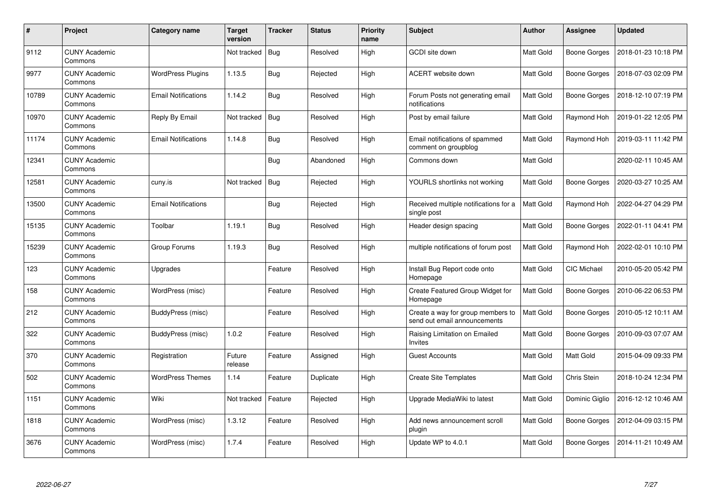| #     | Project                         | Category name              | <b>Target</b><br>version | Tracker    | <b>Status</b> | <b>Priority</b><br>name | <b>Subject</b>                                                    | Author           | Assignee            | <b>Updated</b>      |
|-------|---------------------------------|----------------------------|--------------------------|------------|---------------|-------------------------|-------------------------------------------------------------------|------------------|---------------------|---------------------|
| 9112  | <b>CUNY Academic</b><br>Commons |                            | Not tracked              | <b>Bug</b> | Resolved      | High                    | <b>GCDI</b> site down                                             | Matt Gold        | <b>Boone Gorges</b> | 2018-01-23 10:18 PM |
| 9977  | <b>CUNY Academic</b><br>Commons | <b>WordPress Plugins</b>   | 1.13.5                   | <b>Bug</b> | Rejected      | High                    | ACERT website down                                                | Matt Gold        | <b>Boone Gorges</b> | 2018-07-03 02:09 PM |
| 10789 | <b>CUNY Academic</b><br>Commons | <b>Email Notifications</b> | 1.14.2                   | Bug        | Resolved      | High                    | Forum Posts not generating email<br>notifications                 | Matt Gold        | Boone Gorges        | 2018-12-10 07:19 PM |
| 10970 | <b>CUNY Academic</b><br>Commons | Reply By Email             | Not tracked              | Bug        | Resolved      | High                    | Post by email failure                                             | Matt Gold        | Raymond Hoh         | 2019-01-22 12:05 PM |
| 11174 | <b>CUNY Academic</b><br>Commons | <b>Email Notifications</b> | 1.14.8                   | <b>Bug</b> | Resolved      | High                    | Email notifications of spammed<br>comment on groupblog            | Matt Gold        | Raymond Hoh         | 2019-03-11 11:42 PM |
| 12341 | <b>CUNY Academic</b><br>Commons |                            |                          | Bug        | Abandoned     | High                    | Commons down                                                      | Matt Gold        |                     | 2020-02-11 10:45 AM |
| 12581 | <b>CUNY Academic</b><br>Commons | cuny.is                    | Not tracked              | Bug        | Rejected      | High                    | YOURLS shortlinks not working                                     | Matt Gold        | <b>Boone Gorges</b> | 2020-03-27 10:25 AM |
| 13500 | <b>CUNY Academic</b><br>Commons | <b>Email Notifications</b> |                          | <b>Bug</b> | Rejected      | High                    | Received multiple notifications for a<br>single post              | Matt Gold        | Raymond Hoh         | 2022-04-27 04:29 PM |
| 15135 | <b>CUNY Academic</b><br>Commons | Toolbar                    | 1.19.1                   | <b>Bug</b> | Resolved      | High                    | Header design spacing                                             | Matt Gold        | Boone Gorges        | 2022-01-11 04:41 PM |
| 15239 | <b>CUNY Academic</b><br>Commons | Group Forums               | 1.19.3                   | <b>Bug</b> | Resolved      | High                    | multiple notifications of forum post                              | Matt Gold        | Raymond Hoh         | 2022-02-01 10:10 PM |
| 123   | <b>CUNY Academic</b><br>Commons | Upgrades                   |                          | Feature    | Resolved      | High                    | Install Bug Report code onto<br>Homepage                          | Matt Gold        | CIC Michael         | 2010-05-20 05:42 PM |
| 158   | <b>CUNY Academic</b><br>Commons | WordPress (misc)           |                          | Feature    | Resolved      | High                    | Create Featured Group Widget for<br>Homepage                      | Matt Gold        | <b>Boone Gorges</b> | 2010-06-22 06:53 PM |
| 212   | <b>CUNY Academic</b><br>Commons | BuddyPress (misc)          |                          | Feature    | Resolved      | High                    | Create a way for group members to<br>send out email announcements | Matt Gold        | <b>Boone Gorges</b> | 2010-05-12 10:11 AM |
| 322   | <b>CUNY Academic</b><br>Commons | BuddyPress (misc)          | 1.0.2                    | Feature    | Resolved      | High                    | Raising Limitation on Emailed<br>Invites                          | Matt Gold        | <b>Boone Gorges</b> | 2010-09-03 07:07 AM |
| 370   | <b>CUNY Academic</b><br>Commons | Registration               | Future<br>release        | Feature    | Assigned      | High                    | <b>Guest Accounts</b>                                             | Matt Gold        | Matt Gold           | 2015-04-09 09:33 PM |
| 502   | <b>CUNY Academic</b><br>Commons | <b>WordPress Themes</b>    | 1.14                     | Feature    | Duplicate     | High                    | <b>Create Site Templates</b>                                      | <b>Matt Gold</b> | Chris Stein         | 2018-10-24 12:34 PM |
| 1151  | <b>CUNY Academic</b><br>Commons | Wiki                       | Not tracked              | Feature    | Rejected      | High                    | Upgrade MediaWiki to latest                                       | Matt Gold        | Dominic Giglio      | 2016-12-12 10:46 AM |
| 1818  | <b>CUNY Academic</b><br>Commons | WordPress (misc)           | 1.3.12                   | Feature    | Resolved      | High                    | Add news announcement scroll<br>plugin                            | Matt Gold        | Boone Gorges        | 2012-04-09 03:15 PM |
| 3676  | <b>CUNY Academic</b><br>Commons | WordPress (misc)           | 1.7.4                    | Feature    | Resolved      | High                    | Update WP to 4.0.1                                                | Matt Gold        | Boone Gorges        | 2014-11-21 10:49 AM |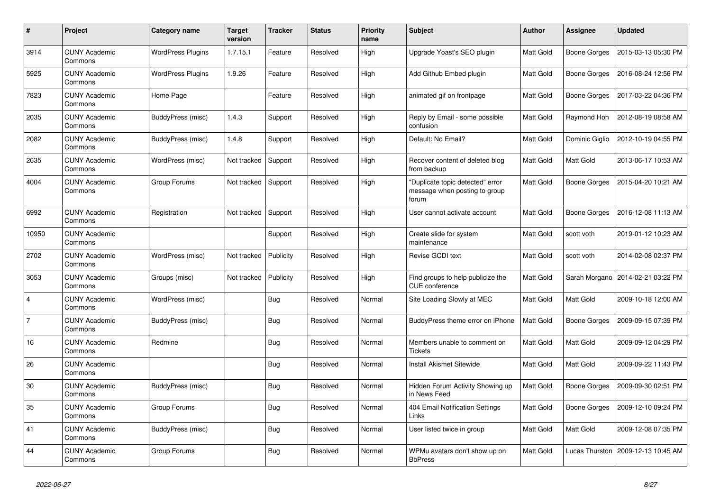| $\pmb{\#}$     | Project                         | Category name            | <b>Target</b><br>version | Tracker    | <b>Status</b> | <b>Priority</b><br>name | <b>Subject</b>                                                             | <b>Author</b> | Assignee            | <b>Updated</b>                      |
|----------------|---------------------------------|--------------------------|--------------------------|------------|---------------|-------------------------|----------------------------------------------------------------------------|---------------|---------------------|-------------------------------------|
| 3914           | <b>CUNY Academic</b><br>Commons | <b>WordPress Plugins</b> | 1.7.15.1                 | Feature    | Resolved      | High                    | Upgrade Yoast's SEO plugin                                                 | Matt Gold     | Boone Gorges        | 2015-03-13 05:30 PM                 |
| 5925           | <b>CUNY Academic</b><br>Commons | <b>WordPress Plugins</b> | 1.9.26                   | Feature    | Resolved      | High                    | Add Github Embed plugin                                                    | Matt Gold     | Boone Gorges        | 2016-08-24 12:56 PM                 |
| 7823           | <b>CUNY Academic</b><br>Commons | Home Page                |                          | Feature    | Resolved      | High                    | animated gif on frontpage                                                  | Matt Gold     | Boone Gorges        | 2017-03-22 04:36 PM                 |
| 2035           | <b>CUNY Academic</b><br>Commons | BuddyPress (misc)        | 1.4.3                    | Support    | Resolved      | High                    | Reply by Email - some possible<br>confusion                                | Matt Gold     | Raymond Hoh         | 2012-08-19 08:58 AM                 |
| 2082           | <b>CUNY Academic</b><br>Commons | <b>BuddyPress (misc)</b> | 1.4.8                    | Support    | Resolved      | High                    | Default: No Email?                                                         | Matt Gold     | Dominic Giglio      | 2012-10-19 04:55 PM                 |
| 2635           | <b>CUNY Academic</b><br>Commons | WordPress (misc)         | Not tracked              | Support    | Resolved      | High                    | Recover content of deleted blog<br>from backup                             | Matt Gold     | Matt Gold           | 2013-06-17 10:53 AM                 |
| 4004           | <b>CUNY Academic</b><br>Commons | Group Forums             | Not tracked              | Support    | Resolved      | High                    | "Duplicate topic detected" error<br>message when posting to group<br>forum | Matt Gold     | Boone Gorges        | 2015-04-20 10:21 AM                 |
| 6992           | <b>CUNY Academic</b><br>Commons | Registration             | Not tracked              | Support    | Resolved      | High                    | User cannot activate account                                               | Matt Gold     | <b>Boone Gorges</b> | 2016-12-08 11:13 AM                 |
| 10950          | <b>CUNY Academic</b><br>Commons |                          |                          | Support    | Resolved      | High                    | Create slide for system<br>maintenance                                     | Matt Gold     | scott voth          | 2019-01-12 10:23 AM                 |
| 2702           | <b>CUNY Academic</b><br>Commons | WordPress (misc)         | Not tracked              | Publicity  | Resolved      | High                    | Revise GCDI text                                                           | Matt Gold     | scott voth          | 2014-02-08 02:37 PM                 |
| 3053           | <b>CUNY Academic</b><br>Commons | Groups (misc)            | Not tracked              | Publicity  | Resolved      | High                    | Find groups to help publicize the<br><b>CUE</b> conference                 | Matt Gold     |                     | Sarah Morgano   2014-02-21 03:22 PM |
| $\overline{4}$ | <b>CUNY Academic</b><br>Commons | WordPress (misc)         |                          | <b>Bug</b> | Resolved      | Normal                  | Site Loading Slowly at MEC                                                 | Matt Gold     | Matt Gold           | 2009-10-18 12:00 AM                 |
| $\overline{7}$ | <b>CUNY Academic</b><br>Commons | BuddyPress (misc)        |                          | Bug        | Resolved      | Normal                  | BuddyPress theme error on iPhone                                           | Matt Gold     | Boone Gorges        | 2009-09-15 07:39 PM                 |
| 16             | <b>CUNY Academic</b><br>Commons | Redmine                  |                          | <b>Bug</b> | Resolved      | Normal                  | Members unable to comment on<br><b>Tickets</b>                             | Matt Gold     | Matt Gold           | 2009-09-12 04:29 PM                 |
| 26             | <b>CUNY Academic</b><br>Commons |                          |                          | <b>Bug</b> | Resolved      | Normal                  | <b>Install Akismet Sitewide</b>                                            | Matt Gold     | Matt Gold           | 2009-09-22 11:43 PM                 |
| 30             | <b>CUNY Academic</b><br>Commons | <b>BuddyPress (misc)</b> |                          | <b>Bug</b> | Resolved      | Normal                  | Hidden Forum Activity Showing up<br>in News Feed                           | Matt Gold     | Boone Gorges        | 2009-09-30 02:51 PM                 |
| 35             | <b>CUNY Academic</b><br>Commons | Group Forums             |                          | Bug        | Resolved      | Normal                  | 404 Email Notification Settings<br>Links                                   | Matt Gold     | Boone Gorges        | 2009-12-10 09:24 PM                 |
| 41             | <b>CUNY Academic</b><br>Commons | BuddyPress (misc)        |                          | <b>Bug</b> | Resolved      | Normal                  | User listed twice in group                                                 | Matt Gold     | Matt Gold           | 2009-12-08 07:35 PM                 |
| 44             | <b>CUNY Academic</b><br>Commons | Group Forums             |                          | Bug        | Resolved      | Normal                  | WPMu avatars don't show up on<br><b>BbPress</b>                            | Matt Gold     | Lucas Thurston      | 2009-12-13 10:45 AM                 |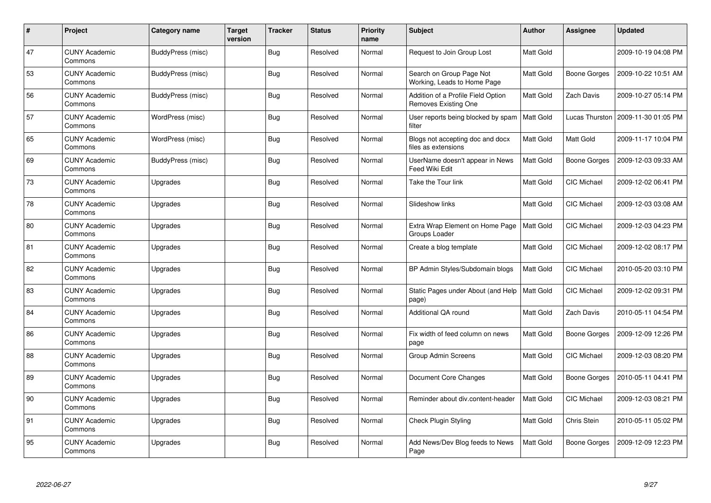| $\#$ | Project                         | <b>Category name</b>     | <b>Target</b><br>version | <b>Tracker</b> | <b>Status</b> | <b>Priority</b><br>name | <b>Subject</b>                                             | Author    | <b>Assignee</b>    | <b>Updated</b>      |
|------|---------------------------------|--------------------------|--------------------------|----------------|---------------|-------------------------|------------------------------------------------------------|-----------|--------------------|---------------------|
| 47   | <b>CUNY Academic</b><br>Commons | <b>BuddyPress</b> (misc) |                          | <b>Bug</b>     | Resolved      | Normal                  | Request to Join Group Lost                                 | Matt Gold |                    | 2009-10-19 04:08 PM |
| 53   | <b>CUNY Academic</b><br>Commons | BuddyPress (misc)        |                          | <b>Bug</b>     | Resolved      | Normal                  | Search on Group Page Not<br>Working, Leads to Home Page    | Matt Gold | Boone Gorges       | 2009-10-22 10:51 AM |
| 56   | <b>CUNY Academic</b><br>Commons | BuddyPress (misc)        |                          | Bug            | Resolved      | Normal                  | Addition of a Profile Field Option<br>Removes Existing One | Matt Gold | Zach Davis         | 2009-10-27 05:14 PM |
| 57   | <b>CUNY Academic</b><br>Commons | WordPress (misc)         |                          | <b>Bug</b>     | Resolved      | Normal                  | User reports being blocked by spam<br>filter               | Matt Gold | Lucas Thurston     | 2009-11-30 01:05 PM |
| 65   | <b>CUNY Academic</b><br>Commons | WordPress (misc)         |                          | <b>Bug</b>     | Resolved      | Normal                  | Blogs not accepting doc and docx<br>files as extensions    | Matt Gold | Matt Gold          | 2009-11-17 10:04 PM |
| 69   | <b>CUNY Academic</b><br>Commons | BuddyPress (misc)        |                          | <b>Bug</b>     | Resolved      | Normal                  | UserName doesn't appear in News<br>Feed Wiki Edit          | Matt Gold | Boone Gorges       | 2009-12-03 09:33 AM |
| 73   | <b>CUNY Academic</b><br>Commons | Upgrades                 |                          | <b>Bug</b>     | Resolved      | Normal                  | Take the Tour link                                         | Matt Gold | <b>CIC Michael</b> | 2009-12-02 06:41 PM |
| 78   | <b>CUNY Academic</b><br>Commons | Upgrades                 |                          | <b>Bug</b>     | Resolved      | Normal                  | Slideshow links                                            | Matt Gold | CIC Michael        | 2009-12-03 03:08 AM |
| 80   | <b>CUNY Academic</b><br>Commons | Upgrades                 |                          | Bug            | Resolved      | Normal                  | Extra Wrap Element on Home Page<br>Groups Loader           | Matt Gold | CIC Michael        | 2009-12-03 04:23 PM |
| 81   | <b>CUNY Academic</b><br>Commons | Upgrades                 |                          | Bug            | Resolved      | Normal                  | Create a blog template                                     | Matt Gold | <b>CIC Michael</b> | 2009-12-02 08:17 PM |
| 82   | <b>CUNY Academic</b><br>Commons | Upgrades                 |                          | <b>Bug</b>     | Resolved      | Normal                  | BP Admin Styles/Subdomain blogs                            | Matt Gold | <b>CIC Michael</b> | 2010-05-20 03:10 PM |
| 83   | <b>CUNY Academic</b><br>Commons | Upgrades                 |                          | <b>Bug</b>     | Resolved      | Normal                  | Static Pages under About (and Help<br>page)                | Matt Gold | CIC Michael        | 2009-12-02 09:31 PM |
| 84   | <b>CUNY Academic</b><br>Commons | Upgrades                 |                          | <b>Bug</b>     | Resolved      | Normal                  | Additional QA round                                        | Matt Gold | <b>Zach Davis</b>  | 2010-05-11 04:54 PM |
| 86   | <b>CUNY Academic</b><br>Commons | Upgrades                 |                          | <b>Bug</b>     | Resolved      | Normal                  | Fix width of feed column on news<br>page                   | Matt Gold | Boone Gorges       | 2009-12-09 12:26 PM |
| 88   | <b>CUNY Academic</b><br>Commons | Upgrades                 |                          | <b>Bug</b>     | Resolved      | Normal                  | Group Admin Screens                                        | Matt Gold | <b>CIC Michael</b> | 2009-12-03 08:20 PM |
| 89   | <b>CUNY Academic</b><br>Commons | Upgrades                 |                          | <b>Bug</b>     | Resolved      | Normal                  | Document Core Changes                                      | Matt Gold | Boone Gorges       | 2010-05-11 04:41 PM |
| 90   | <b>CUNY Academic</b><br>Commons | Upgrades                 |                          | <b>Bug</b>     | Resolved      | Normal                  | Reminder about div.content-header                          | Matt Gold | <b>CIC Michael</b> | 2009-12-03 08:21 PM |
| 91   | <b>CUNY Academic</b><br>Commons | Upgrades                 |                          | <b>Bug</b>     | Resolved      | Normal                  | <b>Check Plugin Styling</b>                                | Matt Gold | Chris Stein        | 2010-05-11 05:02 PM |
| 95   | <b>CUNY Academic</b><br>Commons | Upgrades                 |                          | <b>Bug</b>     | Resolved      | Normal                  | Add News/Dev Blog feeds to News<br>Page                    | Matt Gold | Boone Gorges       | 2009-12-09 12:23 PM |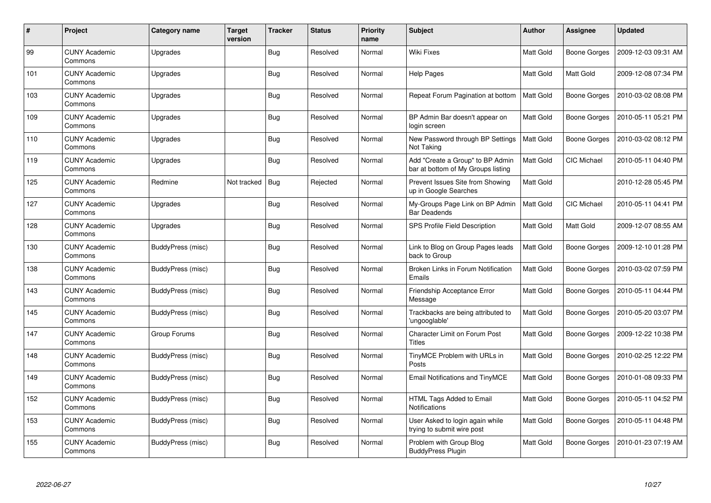| $\#$ | Project                         | Category name     | Target<br>version | <b>Tracker</b> | <b>Status</b> | <b>Priority</b><br>name | <b>Subject</b>                                                         | Author           | <b>Assignee</b>     | <b>Updated</b>      |
|------|---------------------------------|-------------------|-------------------|----------------|---------------|-------------------------|------------------------------------------------------------------------|------------------|---------------------|---------------------|
| 99   | <b>CUNY Academic</b><br>Commons | Upgrades          |                   | Bug            | Resolved      | Normal                  | <b>Wiki Fixes</b>                                                      | <b>Matt Gold</b> | <b>Boone Gorges</b> | 2009-12-03 09:31 AM |
| 101  | <b>CUNY Academic</b><br>Commons | Upgrades          |                   | <b>Bug</b>     | Resolved      | Normal                  | <b>Help Pages</b>                                                      | <b>Matt Gold</b> | Matt Gold           | 2009-12-08 07:34 PM |
| 103  | <b>CUNY Academic</b><br>Commons | Upgrades          |                   | <b>Bug</b>     | Resolved      | Normal                  | Repeat Forum Pagination at bottom                                      | Matt Gold        | <b>Boone Gorges</b> | 2010-03-02 08:08 PM |
| 109  | <b>CUNY Academic</b><br>Commons | Upgrades          |                   | <b>Bug</b>     | Resolved      | Normal                  | BP Admin Bar doesn't appear on<br>login screen                         | Matt Gold        | <b>Boone Gorges</b> | 2010-05-11 05:21 PM |
| 110  | <b>CUNY Academic</b><br>Commons | Upgrades          |                   | <b>Bug</b>     | Resolved      | Normal                  | New Password through BP Settings<br>Not Taking                         | <b>Matt Gold</b> | <b>Boone Gorges</b> | 2010-03-02 08:12 PM |
| 119  | <b>CUNY Academic</b><br>Commons | Upgrades          |                   | <b>Bug</b>     | Resolved      | Normal                  | Add "Create a Group" to BP Admin<br>bar at bottom of My Groups listing | <b>Matt Gold</b> | <b>CIC Michael</b>  | 2010-05-11 04:40 PM |
| 125  | <b>CUNY Academic</b><br>Commons | Redmine           | Not tracked       | <b>Bug</b>     | Rejected      | Normal                  | Prevent Issues Site from Showing<br>up in Google Searches              | Matt Gold        |                     | 2010-12-28 05:45 PM |
| 127  | <b>CUNY Academic</b><br>Commons | Upgrades          |                   | Bug            | Resolved      | Normal                  | My-Groups Page Link on BP Admin<br><b>Bar Deadends</b>                 | <b>Matt Gold</b> | <b>CIC Michael</b>  | 2010-05-11 04:41 PM |
| 128  | <b>CUNY Academic</b><br>Commons | Upgrades          |                   | Bug            | Resolved      | Normal                  | SPS Profile Field Description                                          | Matt Gold        | Matt Gold           | 2009-12-07 08:55 AM |
| 130  | <b>CUNY Academic</b><br>Commons | BuddyPress (misc) |                   | <b>Bug</b>     | Resolved      | Normal                  | Link to Blog on Group Pages leads<br>back to Group                     | Matt Gold        | <b>Boone Gorges</b> | 2009-12-10 01:28 PM |
| 138  | <b>CUNY Academic</b><br>Commons | BuddyPress (misc) |                   | Bug            | Resolved      | Normal                  | Broken Links in Forum Notification<br>Emails                           | Matt Gold        | <b>Boone Gorges</b> | 2010-03-02 07:59 PM |
| 143  | <b>CUNY Academic</b><br>Commons | BuddyPress (misc) |                   | <b>Bug</b>     | Resolved      | Normal                  | Friendship Acceptance Error<br>Message                                 | Matt Gold        | <b>Boone Gorges</b> | 2010-05-11 04:44 PM |
| 145  | <b>CUNY Academic</b><br>Commons | BuddyPress (misc) |                   | <b>Bug</b>     | Resolved      | Normal                  | Trackbacks are being attributed to<br>'ungooglable'                    | Matt Gold        | <b>Boone Gorges</b> | 2010-05-20 03:07 PM |
| 147  | <b>CUNY Academic</b><br>Commons | Group Forums      |                   | <b>Bug</b>     | Resolved      | Normal                  | Character Limit on Forum Post<br>Titles                                | Matt Gold        | <b>Boone Gorges</b> | 2009-12-22 10:38 PM |
| 148  | <b>CUNY Academic</b><br>Commons | BuddyPress (misc) |                   | Bug            | Resolved      | Normal                  | TinyMCE Problem with URLs in<br>Posts                                  | Matt Gold        | <b>Boone Gorges</b> | 2010-02-25 12:22 PM |
| 149  | <b>CUNY Academic</b><br>Commons | BuddyPress (misc) |                   | <b>Bug</b>     | Resolved      | Normal                  | Email Notifications and TinyMCE                                        | Matt Gold        | <b>Boone Gorges</b> | 2010-01-08 09:33 PM |
| 152  | <b>CUNY Academic</b><br>Commons | BuddyPress (misc) |                   | Bug            | Resolved      | Normal                  | HTML Tags Added to Email<br>Notifications                              | <b>Matt Gold</b> | <b>Boone Gorges</b> | 2010-05-11 04:52 PM |
| 153  | <b>CUNY Academic</b><br>Commons | BuddyPress (misc) |                   | <b>Bug</b>     | Resolved      | Normal                  | User Asked to login again while<br>trying to submit wire post          | Matt Gold        | <b>Boone Gorges</b> | 2010-05-11 04:48 PM |
| 155  | <b>CUNY Academic</b><br>Commons | BuddyPress (misc) |                   | Bug            | Resolved      | Normal                  | Problem with Group Blog<br><b>BuddyPress Plugin</b>                    | Matt Gold        | Boone Gorges        | 2010-01-23 07:19 AM |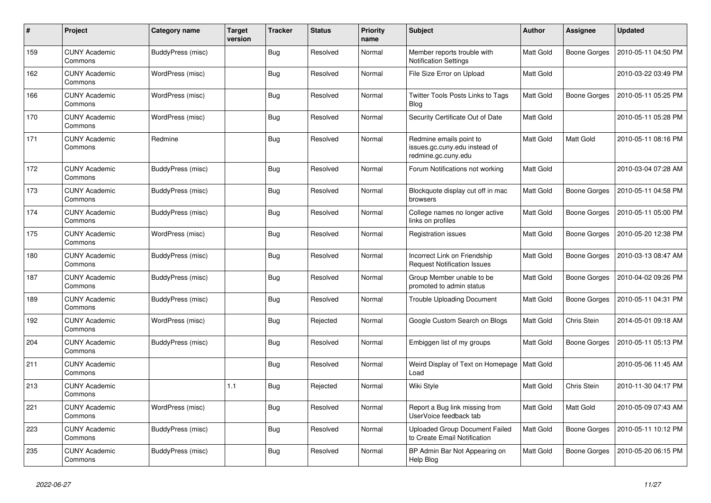| $\#$ | Project                         | Category name            | <b>Target</b><br>version | <b>Tracker</b> | <b>Status</b> | <b>Priority</b><br>name | <b>Subject</b>                                                                  | Author           | <b>Assignee</b> | <b>Updated</b>      |
|------|---------------------------------|--------------------------|--------------------------|----------------|---------------|-------------------------|---------------------------------------------------------------------------------|------------------|-----------------|---------------------|
| 159  | <b>CUNY Academic</b><br>Commons | BuddyPress (misc)        |                          | <b>Bug</b>     | Resolved      | Normal                  | Member reports trouble with<br><b>Notification Settings</b>                     | <b>Matt Gold</b> | Boone Gorges    | 2010-05-11 04:50 PM |
| 162  | <b>CUNY Academic</b><br>Commons | WordPress (misc)         |                          | <b>Bug</b>     | Resolved      | Normal                  | File Size Error on Upload                                                       | Matt Gold        |                 | 2010-03-22 03:49 PM |
| 166  | <b>CUNY Academic</b><br>Commons | WordPress (misc)         |                          | Bug            | Resolved      | Normal                  | <b>Twitter Tools Posts Links to Tags</b><br>Blog                                | Matt Gold        | Boone Gorges    | 2010-05-11 05:25 PM |
| 170  | <b>CUNY Academic</b><br>Commons | WordPress (misc)         |                          | <b>Bug</b>     | Resolved      | Normal                  | Security Certificate Out of Date                                                | Matt Gold        |                 | 2010-05-11 05:28 PM |
| 171  | <b>CUNY Academic</b><br>Commons | Redmine                  |                          | <b>Bug</b>     | Resolved      | Normal                  | Redmine emails point to<br>issues.gc.cuny.edu instead of<br>redmine.gc.cuny.edu | Matt Gold        | Matt Gold       | 2010-05-11 08:16 PM |
| 172  | <b>CUNY Academic</b><br>Commons | BuddyPress (misc)        |                          | Bug            | Resolved      | Normal                  | Forum Notifications not working                                                 | Matt Gold        |                 | 2010-03-04 07:28 AM |
| 173  | <b>CUNY Academic</b><br>Commons | BuddyPress (misc)        |                          | <b>Bug</b>     | Resolved      | Normal                  | Blockquote display cut off in mac<br>browsers                                   | Matt Gold        | Boone Gorges    | 2010-05-11 04:58 PM |
| 174  | <b>CUNY Academic</b><br>Commons | BuddyPress (misc)        |                          | <b>Bug</b>     | Resolved      | Normal                  | College names no longer active<br>links on profiles                             | Matt Gold        | Boone Gorges    | 2010-05-11 05:00 PM |
| 175  | <b>CUNY Academic</b><br>Commons | WordPress (misc)         |                          | <b>Bug</b>     | Resolved      | Normal                  | <b>Registration issues</b>                                                      | Matt Gold        | Boone Gorges    | 2010-05-20 12:38 PM |
| 180  | <b>CUNY Academic</b><br>Commons | BuddyPress (misc)        |                          | <b>Bug</b>     | Resolved      | Normal                  | Incorrect Link on Friendship<br><b>Request Notification Issues</b>              | Matt Gold        | Boone Gorges    | 2010-03-13 08:47 AM |
| 187  | <b>CUNY Academic</b><br>Commons | BuddyPress (misc)        |                          | Bug            | Resolved      | Normal                  | Group Member unable to be<br>promoted to admin status                           | Matt Gold        | Boone Gorges    | 2010-04-02 09:26 PM |
| 189  | <b>CUNY Academic</b><br>Commons | BuddyPress (misc)        |                          | <b>Bug</b>     | Resolved      | Normal                  | <b>Trouble Uploading Document</b>                                               | Matt Gold        | Boone Gorges    | 2010-05-11 04:31 PM |
| 192  | <b>CUNY Academic</b><br>Commons | WordPress (misc)         |                          | <b>Bug</b>     | Rejected      | Normal                  | Google Custom Search on Blogs                                                   | Matt Gold        | Chris Stein     | 2014-05-01 09:18 AM |
| 204  | <b>CUNY Academic</b><br>Commons | BuddyPress (misc)        |                          | Bug            | Resolved      | Normal                  | Embiggen list of my groups                                                      | Matt Gold        | Boone Gorges    | 2010-05-11 05:13 PM |
| 211  | <b>CUNY Academic</b><br>Commons |                          |                          | Bug            | Resolved      | Normal                  | Weird Display of Text on Homepage<br>Load                                       | Matt Gold        |                 | 2010-05-06 11:45 AM |
| 213  | <b>CUNY Academic</b><br>Commons |                          | 1.1                      | Bug            | Rejected      | Normal                  | Wiki Style                                                                      | Matt Gold        | Chris Stein     | 2010-11-30 04:17 PM |
| 221  | <b>CUNY Academic</b><br>Commons | WordPress (misc)         |                          | <b>Bug</b>     | Resolved      | Normal                  | Report a Bug link missing from<br>UserVoice feedback tab                        | Matt Gold        | Matt Gold       | 2010-05-09 07:43 AM |
| 223  | <b>CUNY Academic</b><br>Commons | <b>BuddyPress (misc)</b> |                          | <b>Bug</b>     | Resolved      | Normal                  | <b>Uploaded Group Document Failed</b><br>to Create Email Notification           | Matt Gold        | Boone Gorges    | 2010-05-11 10:12 PM |
| 235  | <b>CUNY Academic</b><br>Commons | BuddyPress (misc)        |                          | <b>Bug</b>     | Resolved      | Normal                  | BP Admin Bar Not Appearing on<br>Help Blog                                      | Matt Gold        | Boone Gorges    | 2010-05-20 06:15 PM |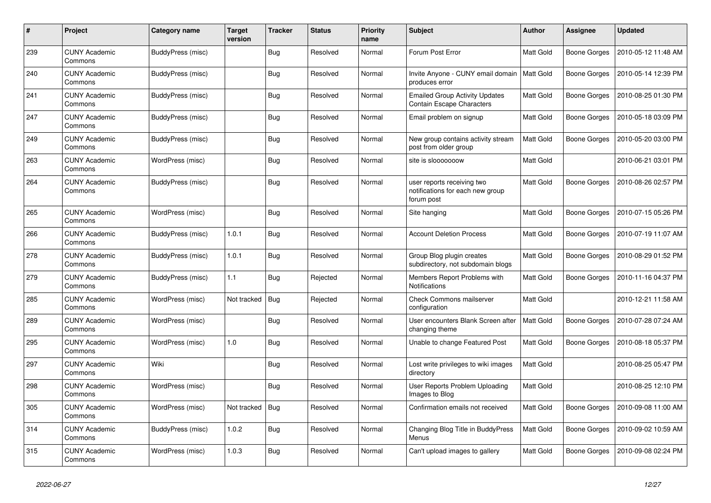| #   | Project                         | Category name     | <b>Target</b><br>version | <b>Tracker</b> | Status   | <b>Priority</b><br>name | <b>Subject</b>                                                               | <b>Author</b>    | Assignee            | <b>Updated</b>      |
|-----|---------------------------------|-------------------|--------------------------|----------------|----------|-------------------------|------------------------------------------------------------------------------|------------------|---------------------|---------------------|
| 239 | <b>CUNY Academic</b><br>Commons | BuddyPress (misc) |                          | <b>Bug</b>     | Resolved | Normal                  | Forum Post Error                                                             | Matt Gold        | <b>Boone Gorges</b> | 2010-05-12 11:48 AM |
| 240 | <b>CUNY Academic</b><br>Commons | BuddyPress (misc) |                          | <b>Bug</b>     | Resolved | Normal                  | Invite Anyone - CUNY email domain<br>produces error                          | <b>Matt Gold</b> | Boone Gorges        | 2010-05-14 12:39 PM |
| 241 | <b>CUNY Academic</b><br>Commons | BuddyPress (misc) |                          | Bug            | Resolved | Normal                  | <b>Emailed Group Activity Updates</b><br>Contain Escape Characters           | Matt Gold        | Boone Gorges        | 2010-08-25 01:30 PM |
| 247 | <b>CUNY Academic</b><br>Commons | BuddyPress (misc) |                          | <b>Bug</b>     | Resolved | Normal                  | Email problem on signup                                                      | Matt Gold        | <b>Boone Gorges</b> | 2010-05-18 03:09 PM |
| 249 | <b>CUNY Academic</b><br>Commons | BuddyPress (misc) |                          | <b>Bug</b>     | Resolved | Normal                  | New group contains activity stream<br>post from older group                  | Matt Gold        | <b>Boone Gorges</b> | 2010-05-20 03:00 PM |
| 263 | <b>CUNY Academic</b><br>Commons | WordPress (misc)  |                          | Bug            | Resolved | Normal                  | site is slooooooow                                                           | Matt Gold        |                     | 2010-06-21 03:01 PM |
| 264 | <b>CUNY Academic</b><br>Commons | BuddyPress (misc) |                          | <b>Bug</b>     | Resolved | Normal                  | user reports receiving two<br>notifications for each new group<br>forum post | Matt Gold        | <b>Boone Gorges</b> | 2010-08-26 02:57 PM |
| 265 | <b>CUNY Academic</b><br>Commons | WordPress (misc)  |                          | Bug            | Resolved | Normal                  | Site hanging                                                                 | Matt Gold        | <b>Boone Gorges</b> | 2010-07-15 05:26 PM |
| 266 | <b>CUNY Academic</b><br>Commons | BuddyPress (misc) | 1.0.1                    | <b>Bug</b>     | Resolved | Normal                  | <b>Account Deletion Process</b>                                              | Matt Gold        | Boone Gorges        | 2010-07-19 11:07 AM |
| 278 | <b>CUNY Academic</b><br>Commons | BuddyPress (misc) | 1.0.1                    | <b>Bug</b>     | Resolved | Normal                  | Group Blog plugin creates<br>subdirectory, not subdomain blogs               | Matt Gold        | <b>Boone Gorges</b> | 2010-08-29 01:52 PM |
| 279 | <b>CUNY Academic</b><br>Commons | BuddyPress (misc) | 1.1                      | Bug            | Rejected | Normal                  | Members Report Problems with<br>Notifications                                | Matt Gold        | Boone Gorges        | 2010-11-16 04:37 PM |
| 285 | <b>CUNY Academic</b><br>Commons | WordPress (misc)  | Not tracked              | <b>Bug</b>     | Rejected | Normal                  | <b>Check Commons mailserver</b><br>configuration                             | Matt Gold        |                     | 2010-12-21 11:58 AM |
| 289 | <b>CUNY Academic</b><br>Commons | WordPress (misc)  |                          | <b>Bug</b>     | Resolved | Normal                  | User encounters Blank Screen after<br>changing theme                         | <b>Matt Gold</b> | <b>Boone Gorges</b> | 2010-07-28 07:24 AM |
| 295 | <b>CUNY Academic</b><br>Commons | WordPress (misc)  | 1.0                      | <b>Bug</b>     | Resolved | Normal                  | Unable to change Featured Post                                               | <b>Matt Gold</b> | Boone Gorges        | 2010-08-18 05:37 PM |
| 297 | <b>CUNY Academic</b><br>Commons | Wiki              |                          | <b>Bug</b>     | Resolved | Normal                  | Lost write privileges to wiki images<br>directory                            | <b>Matt Gold</b> |                     | 2010-08-25 05:47 PM |
| 298 | <b>CUNY Academic</b><br>Commons | WordPress (misc)  |                          | <b>Bug</b>     | Resolved | Normal                  | User Reports Problem Uploading<br>Images to Blog                             | Matt Gold        |                     | 2010-08-25 12:10 PM |
| 305 | <b>CUNY Academic</b><br>Commons | WordPress (misc)  | Not tracked              | <b>Bug</b>     | Resolved | Normal                  | Confirmation emails not received                                             | Matt Gold        | <b>Boone Gorges</b> | 2010-09-08 11:00 AM |
| 314 | <b>CUNY Academic</b><br>Commons | BuddyPress (misc) | 1.0.2                    | <b>Bug</b>     | Resolved | Normal                  | Changing Blog Title in BuddyPress<br>Menus                                   | Matt Gold        | <b>Boone Gorges</b> | 2010-09-02 10:59 AM |
| 315 | <b>CUNY Academic</b><br>Commons | WordPress (misc)  | 1.0.3                    | Bug            | Resolved | Normal                  | Can't upload images to gallery                                               | <b>Matt Gold</b> | <b>Boone Gorges</b> | 2010-09-08 02:24 PM |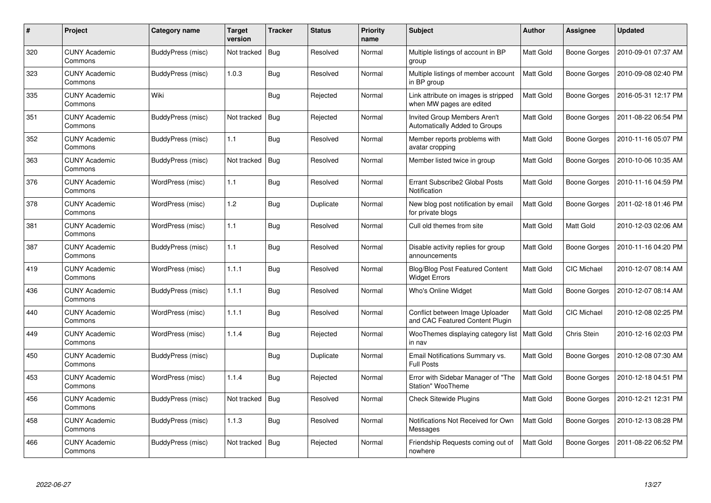| #   | Project                         | Category name     | <b>Target</b><br>version | <b>Tracker</b> | Status    | <b>Priority</b><br>name | <b>Subject</b>                                                     | <b>Author</b>    | Assignee            | <b>Updated</b>      |
|-----|---------------------------------|-------------------|--------------------------|----------------|-----------|-------------------------|--------------------------------------------------------------------|------------------|---------------------|---------------------|
| 320 | <b>CUNY Academic</b><br>Commons | BuddyPress (misc) | Not tracked              | <b>Bug</b>     | Resolved  | Normal                  | Multiple listings of account in BP<br>group                        | Matt Gold        | Boone Gorges        | 2010-09-01 07:37 AM |
| 323 | <b>CUNY Academic</b><br>Commons | BuddyPress (misc) | 1.0.3                    | Bug            | Resolved  | Normal                  | Multiple listings of member account<br>in BP group                 | <b>Matt Gold</b> | Boone Gorges        | 2010-09-08 02:40 PM |
| 335 | <b>CUNY Academic</b><br>Commons | Wiki              |                          | <b>Bug</b>     | Rejected  | Normal                  | Link attribute on images is stripped<br>when MW pages are edited   | <b>Matt Gold</b> | <b>Boone Gorges</b> | 2016-05-31 12:17 PM |
| 351 | <b>CUNY Academic</b><br>Commons | BuddyPress (misc) | Not tracked              | Bug            | Rejected  | Normal                  | Invited Group Members Aren't<br>Automatically Added to Groups      | Matt Gold        | <b>Boone Gorges</b> | 2011-08-22 06:54 PM |
| 352 | <b>CUNY Academic</b><br>Commons | BuddyPress (misc) | 1.1                      | <b>Bug</b>     | Resolved  | Normal                  | Member reports problems with<br>avatar cropping                    | Matt Gold        | <b>Boone Gorges</b> | 2010-11-16 05:07 PM |
| 363 | <b>CUNY Academic</b><br>Commons | BuddyPress (misc) | Not tracked              | <b>Bug</b>     | Resolved  | Normal                  | Member listed twice in group                                       | <b>Matt Gold</b> | <b>Boone Gorges</b> | 2010-10-06 10:35 AM |
| 376 | <b>CUNY Academic</b><br>Commons | WordPress (misc)  | 1.1                      | <b>Bug</b>     | Resolved  | Normal                  | Errant Subscribe2 Global Posts<br>Notification                     | Matt Gold        | <b>Boone Gorges</b> | 2010-11-16 04:59 PM |
| 378 | <b>CUNY Academic</b><br>Commons | WordPress (misc)  | 1.2                      | <b>Bug</b>     | Duplicate | Normal                  | New blog post notification by email<br>for private blogs           | Matt Gold        | Boone Gorges        | 2011-02-18 01:46 PM |
| 381 | <b>CUNY Academic</b><br>Commons | WordPress (misc)  | 1.1                      | Bug            | Resolved  | Normal                  | Cull old themes from site                                          | Matt Gold        | Matt Gold           | 2010-12-03 02:06 AM |
| 387 | <b>CUNY Academic</b><br>Commons | BuddyPress (misc) | 1.1                      | <b>Bug</b>     | Resolved  | Normal                  | Disable activity replies for group<br>announcements                | Matt Gold        | Boone Gorges        | 2010-11-16 04:20 PM |
| 419 | <b>CUNY Academic</b><br>Commons | WordPress (misc)  | 1.1.1                    | <b>Bug</b>     | Resolved  | Normal                  | Blog/Blog Post Featured Content<br><b>Widget Errors</b>            | Matt Gold        | CIC Michael         | 2010-12-07 08:14 AM |
| 436 | <b>CUNY Academic</b><br>Commons | BuddyPress (misc) | 1.1.1                    | <b>Bug</b>     | Resolved  | Normal                  | Who's Online Widget                                                | Matt Gold        | <b>Boone Gorges</b> | 2010-12-07 08:14 AM |
| 440 | <b>CUNY Academic</b><br>Commons | WordPress (misc)  | 1.1.1                    | Bug            | Resolved  | Normal                  | Conflict between Image Uploader<br>and CAC Featured Content Plugin | Matt Gold        | <b>CIC Michael</b>  | 2010-12-08 02:25 PM |
| 449 | <b>CUNY Academic</b><br>Commons | WordPress (misc)  | 1.1.4                    | <b>Bug</b>     | Rejected  | Normal                  | WooThemes displaying category list<br>in nav                       | Matt Gold        | Chris Stein         | 2010-12-16 02:03 PM |
| 450 | <b>CUNY Academic</b><br>Commons | BuddyPress (misc) |                          | <b>Bug</b>     | Duplicate | Normal                  | Email Notifications Summary vs.<br><b>Full Posts</b>               | Matt Gold        | <b>Boone Gorges</b> | 2010-12-08 07:30 AM |
| 453 | <b>CUNY Academic</b><br>Commons | WordPress (misc)  | 1.1.4                    | <b>Bug</b>     | Rejected  | Normal                  | Error with Sidebar Manager of "The<br>Station" WooTheme            | Matt Gold        | <b>Boone Gorges</b> | 2010-12-18 04:51 PM |
| 456 | <b>CUNY Academic</b><br>Commons | BuddyPress (misc) | Not tracked              | <b>Bug</b>     | Resolved  | Normal                  | <b>Check Sitewide Plugins</b>                                      | Matt Gold        | Boone Gorges        | 2010-12-21 12:31 PM |
| 458 | <b>CUNY Academic</b><br>Commons | BuddyPress (misc) | 1.1.3                    | <b>Bug</b>     | Resolved  | Normal                  | Notifications Not Received for Own<br>Messages                     | Matt Gold        | <b>Boone Gorges</b> | 2010-12-13 08:28 PM |
| 466 | <b>CUNY Academic</b><br>Commons | BuddyPress (misc) | Not tracked              | <b>Bug</b>     | Rejected  | Normal                  | Friendship Requests coming out of<br>nowhere                       | Matt Gold        | Boone Gorges        | 2011-08-22 06:52 PM |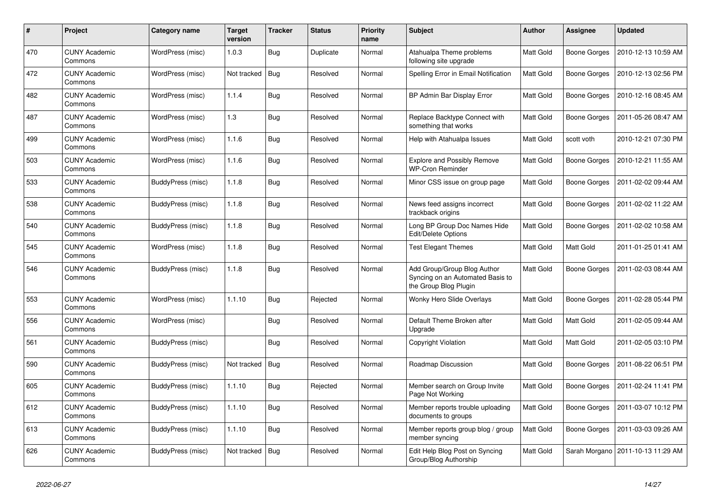| #   | Project                         | Category name            | <b>Target</b><br>version | <b>Tracker</b> | Status    | <b>Priority</b><br>name | <b>Subject</b>                                                                           | <b>Author</b>    | Assignee            | <b>Updated</b>                      |
|-----|---------------------------------|--------------------------|--------------------------|----------------|-----------|-------------------------|------------------------------------------------------------------------------------------|------------------|---------------------|-------------------------------------|
| 470 | <b>CUNY Academic</b><br>Commons | WordPress (misc)         | 1.0.3                    | <b>Bug</b>     | Duplicate | Normal                  | Atahualpa Theme problems<br>following site upgrade                                       | <b>Matt Gold</b> | <b>Boone Gorges</b> | 2010-12-13 10:59 AM                 |
| 472 | <b>CUNY Academic</b><br>Commons | WordPress (misc)         | Not tracked              | <b>Bug</b>     | Resolved  | Normal                  | Spelling Error in Email Notification                                                     | Matt Gold        | Boone Gorges        | 2010-12-13 02:56 PM                 |
| 482 | <b>CUNY Academic</b><br>Commons | WordPress (misc)         | 1.1.4                    | <b>Bug</b>     | Resolved  | Normal                  | BP Admin Bar Display Error                                                               | Matt Gold        | Boone Gorges        | 2010-12-16 08:45 AM                 |
| 487 | <b>CUNY Academic</b><br>Commons | WordPress (misc)         | 1.3                      | <b>Bug</b>     | Resolved  | Normal                  | Replace Backtype Connect with<br>something that works                                    | Matt Gold        | <b>Boone Gorges</b> | 2011-05-26 08:47 AM                 |
| 499 | <b>CUNY Academic</b><br>Commons | WordPress (misc)         | 1.1.6                    | <b>Bug</b>     | Resolved  | Normal                  | Help with Atahualpa Issues                                                               | Matt Gold        | scott voth          | 2010-12-21 07:30 PM                 |
| 503 | <b>CUNY Academic</b><br>Commons | WordPress (misc)         | 1.1.6                    | <b>Bug</b>     | Resolved  | Normal                  | <b>Explore and Possibly Remove</b><br><b>WP-Cron Reminder</b>                            | Matt Gold        | <b>Boone Gorges</b> | 2010-12-21 11:55 AM                 |
| 533 | <b>CUNY Academic</b><br>Commons | BuddyPress (misc)        | 1.1.8                    | <b>Bug</b>     | Resolved  | Normal                  | Minor CSS issue on group page                                                            | Matt Gold        | <b>Boone Gorges</b> | 2011-02-02 09:44 AM                 |
| 538 | <b>CUNY Academic</b><br>Commons | BuddyPress (misc)        | 1.1.8                    | <b>Bug</b>     | Resolved  | Normal                  | News feed assigns incorrect<br>trackback origins                                         | Matt Gold        | <b>Boone Gorges</b> | 2011-02-02 11:22 AM                 |
| 540 | CUNY Academic<br>Commons        | BuddyPress (misc)        | 1.1.8                    | <b>Bug</b>     | Resolved  | Normal                  | Long BP Group Doc Names Hide<br>Edit/Delete Options                                      | Matt Gold        | <b>Boone Gorges</b> | 2011-02-02 10:58 AM                 |
| 545 | <b>CUNY Academic</b><br>Commons | WordPress (misc)         | 1.1.8                    | <b>Bug</b>     | Resolved  | Normal                  | <b>Test Elegant Themes</b>                                                               | Matt Gold        | Matt Gold           | 2011-01-25 01:41 AM                 |
| 546 | CUNY Academic<br>Commons        | BuddyPress (misc)        | 1.1.8                    | <b>Bug</b>     | Resolved  | Normal                  | Add Group/Group Blog Author<br>Syncing on an Automated Basis to<br>the Group Blog Plugin | Matt Gold        | <b>Boone Gorges</b> | 2011-02-03 08:44 AM                 |
| 553 | <b>CUNY Academic</b><br>Commons | WordPress (misc)         | 1.1.10                   | <b>Bug</b>     | Rejected  | Normal                  | Wonky Hero Slide Overlays                                                                | Matt Gold        | <b>Boone Gorges</b> | 2011-02-28 05:44 PM                 |
| 556 | <b>CUNY Academic</b><br>Commons | WordPress (misc)         |                          | <b>Bug</b>     | Resolved  | Normal                  | Default Theme Broken after<br>Upgrade                                                    | Matt Gold        | Matt Gold           | 2011-02-05 09:44 AM                 |
| 561 | <b>CUNY Academic</b><br>Commons | <b>BuddyPress (misc)</b> |                          | <b>Bug</b>     | Resolved  | Normal                  | Copyright Violation                                                                      | Matt Gold        | Matt Gold           | 2011-02-05 03:10 PM                 |
| 590 | <b>CUNY Academic</b><br>Commons | <b>BuddyPress (misc)</b> | Not tracked              | Bug            | Resolved  | Normal                  | Roadmap Discussion                                                                       | Matt Gold        | Boone Gorges        | 2011-08-22 06:51 PM                 |
| 605 | <b>CUNY Academic</b><br>Commons | <b>BuddyPress (misc)</b> | 1.1.10                   | <b>Bug</b>     | Rejected  | Normal                  | Member search on Group Invite<br>Page Not Working                                        | Matt Gold        | <b>Boone Gorges</b> | 2011-02-24 11:41 PM                 |
| 612 | <b>CUNY Academic</b><br>Commons | BuddyPress (misc)        | 1.1.10                   | <b>Bug</b>     | Resolved  | Normal                  | Member reports trouble uploading<br>documents to groups                                  | Matt Gold        | <b>Boone Gorges</b> | 2011-03-07 10:12 PM                 |
| 613 | <b>CUNY Academic</b><br>Commons | BuddyPress (misc)        | 1.1.10                   | Bug            | Resolved  | Normal                  | Member reports group blog / group<br>member syncing                                      | Matt Gold        | Boone Gorges        | 2011-03-03 09:26 AM                 |
| 626 | <b>CUNY Academic</b><br>Commons | <b>BuddyPress (misc)</b> | Not tracked              | <b>Bug</b>     | Resolved  | Normal                  | Edit Help Blog Post on Syncing<br>Group/Blog Authorship                                  | Matt Gold        |                     | Sarah Morgano   2011-10-13 11:29 AM |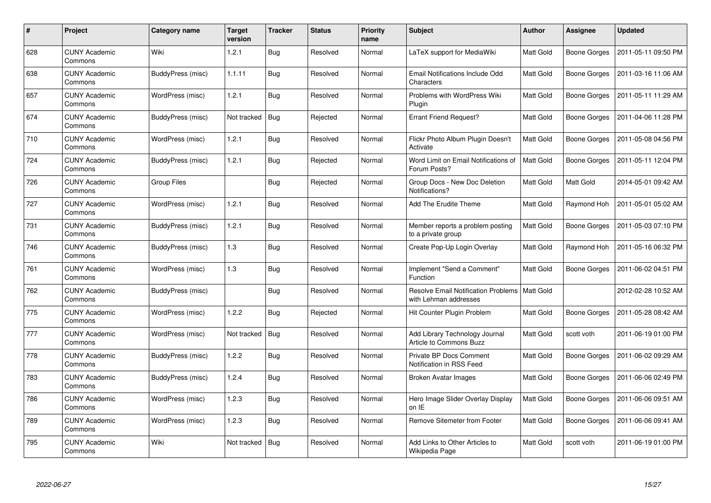| $\#$ | Project                         | Category name            | Target<br>version | <b>Tracker</b> | <b>Status</b> | <b>Priority</b><br>name | <b>Subject</b>                                                           | Author           | <b>Assignee</b>     | <b>Updated</b>      |
|------|---------------------------------|--------------------------|-------------------|----------------|---------------|-------------------------|--------------------------------------------------------------------------|------------------|---------------------|---------------------|
| 628  | <b>CUNY Academic</b><br>Commons | Wiki                     | 1.2.1             | <b>Bug</b>     | Resolved      | Normal                  | LaTeX support for MediaWiki                                              | <b>Matt Gold</b> | Boone Gorges        | 2011-05-11 09:50 PM |
| 638  | <b>CUNY Academic</b><br>Commons | <b>BuddyPress (misc)</b> | 1.1.11            | Bug            | Resolved      | Normal                  | <b>Email Notifications Include Odd</b><br>Characters                     | Matt Gold        | Boone Gorges        | 2011-03-16 11:06 AM |
| 657  | <b>CUNY Academic</b><br>Commons | WordPress (misc)         | 1.2.1             | <b>Bug</b>     | Resolved      | Normal                  | Problems with WordPress Wiki<br>Plugin                                   | Matt Gold        | <b>Boone Gorges</b> | 2011-05-11 11:29 AM |
| 674  | <b>CUNY Academic</b><br>Commons | BuddyPress (misc)        | Not tracked       | Bug            | Rejected      | Normal                  | <b>Errant Friend Request?</b>                                            | <b>Matt Gold</b> | <b>Boone Gorges</b> | 2011-04-06 11:28 PM |
| 710  | <b>CUNY Academic</b><br>Commons | WordPress (misc)         | 1.2.1             | <b>Bug</b>     | Resolved      | Normal                  | Flickr Photo Album Plugin Doesn't<br>Activate                            | <b>Matt Gold</b> | <b>Boone Gorges</b> | 2011-05-08 04:56 PM |
| 724  | <b>CUNY Academic</b><br>Commons | BuddyPress (misc)        | 1.2.1             | <b>Bug</b>     | Rejected      | Normal                  | Word Limit on Email Notifications of<br>Forum Posts?                     | <b>Matt Gold</b> | <b>Boone Gorges</b> | 2011-05-11 12:04 PM |
| 726  | <b>CUNY Academic</b><br>Commons | Group Files              |                   | <b>Bug</b>     | Rejected      | Normal                  | Group Docs - New Doc Deletion<br>Notifications?                          | <b>Matt Gold</b> | Matt Gold           | 2014-05-01 09:42 AM |
| 727  | <b>CUNY Academic</b><br>Commons | WordPress (misc)         | 1.2.1             | Bug            | Resolved      | Normal                  | Add The Erudite Theme                                                    | Matt Gold        | Raymond Hoh         | 2011-05-01 05:02 AM |
| 731  | <b>CUNY Academic</b><br>Commons | BuddyPress (misc)        | 1.2.1             | Bug            | Resolved      | Normal                  | Member reports a problem posting<br>to a private group                   | Matt Gold        | Boone Gorges        | 2011-05-03 07:10 PM |
| 746  | <b>CUNY Academic</b><br>Commons | BuddyPress (misc)        | 1.3               | <b>Bug</b>     | Resolved      | Normal                  | Create Pop-Up Login Overlay                                              | Matt Gold        | Raymond Hoh         | 2011-05-16 06:32 PM |
| 761  | <b>CUNY Academic</b><br>Commons | WordPress (misc)         | 1.3               | Bug            | Resolved      | Normal                  | Implement "Send a Comment"<br>Function                                   | Matt Gold        | <b>Boone Gorges</b> | 2011-06-02 04:51 PM |
| 762  | <b>CUNY Academic</b><br>Commons | BuddyPress (misc)        |                   | <b>Bug</b>     | Resolved      | Normal                  | Resolve Email Notification Problems   Matt Gold<br>with Lehman addresses |                  |                     | 2012-02-28 10:52 AM |
| 775  | <b>CUNY Academic</b><br>Commons | WordPress (misc)         | 1.2.2             | <b>Bug</b>     | Rejected      | Normal                  | Hit Counter Plugin Problem                                               | Matt Gold        | Boone Gorges        | 2011-05-28 08:42 AM |
| 777  | <b>CUNY Academic</b><br>Commons | WordPress (misc)         | Not tracked       | <b>Bug</b>     | Resolved      | Normal                  | Add Library Technology Journal<br>Article to Commons Buzz                | Matt Gold        | scott voth          | 2011-06-19 01:00 PM |
| 778  | <b>CUNY Academic</b><br>Commons | BuddyPress (misc)        | 1.2.2             | <b>Bug</b>     | Resolved      | Normal                  | Private BP Docs Comment<br>Notification in RSS Feed                      | Matt Gold        | <b>Boone Gorges</b> | 2011-06-02 09:29 AM |
| 783  | <b>CUNY Academic</b><br>Commons | BuddyPress (misc)        | 1.2.4             | <b>Bug</b>     | Resolved      | Normal                  | Broken Avatar Images                                                     | Matt Gold        | <b>Boone Gorges</b> | 2011-06-06 02:49 PM |
| 786  | <b>CUNY Academic</b><br>Commons | WordPress (misc)         | 1.2.3             | <b>Bug</b>     | Resolved      | Normal                  | Hero Image Slider Overlay Display<br>on IE                               | <b>Matt Gold</b> | Boone Gorges        | 2011-06-06 09:51 AM |
| 789  | <b>CUNY Academic</b><br>Commons | WordPress (misc)         | 1.2.3             | <b>Bug</b>     | Resolved      | Normal                  | Remove Sitemeter from Footer                                             | Matt Gold        | <b>Boone Gorges</b> | 2011-06-06 09:41 AM |
| 795  | <b>CUNY Academic</b><br>Commons | Wiki                     | Not tracked       | <b>Bug</b>     | Resolved      | Normal                  | Add Links to Other Articles to<br>Wikipedia Page                         | Matt Gold        | scott voth          | 2011-06-19 01:00 PM |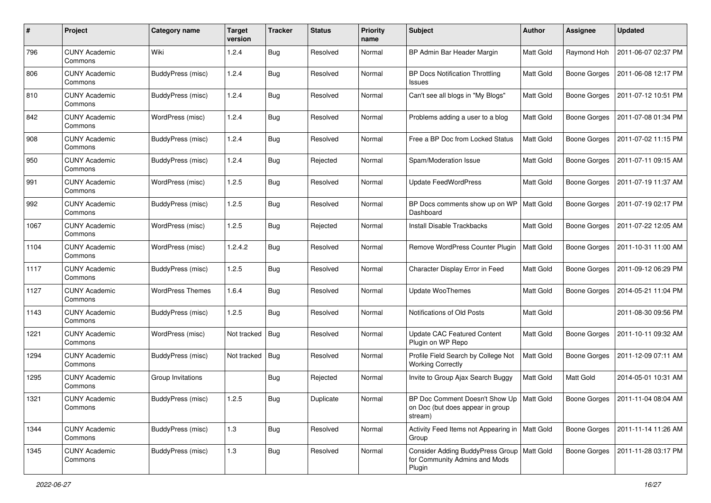| #    | Project                         | Category name            | <b>Target</b><br>version | <b>Tracker</b> | <b>Status</b> | <b>Priority</b><br>name | Subject                                                                                   | <b>Author</b>    | <b>Assignee</b>     | <b>Updated</b>      |
|------|---------------------------------|--------------------------|--------------------------|----------------|---------------|-------------------------|-------------------------------------------------------------------------------------------|------------------|---------------------|---------------------|
| 796  | <b>CUNY Academic</b><br>Commons | Wiki                     | 1.2.4                    | <b>Bug</b>     | Resolved      | Normal                  | BP Admin Bar Header Margin                                                                | Matt Gold        | Raymond Hoh         | 2011-06-07 02:37 PM |
| 806  | <b>CUNY Academic</b><br>Commons | <b>BuddyPress (misc)</b> | 1.2.4                    | Bug            | Resolved      | Normal                  | <b>BP Docs Notification Throttling</b><br>Issues                                          | Matt Gold        | <b>Boone Gorges</b> | 2011-06-08 12:17 PM |
| 810  | CUNY Academic<br>Commons        | BuddyPress (misc)        | 1.2.4                    | <b>Bug</b>     | Resolved      | Normal                  | Can't see all blogs in "My Blogs"                                                         | Matt Gold        | <b>Boone Gorges</b> | 2011-07-12 10:51 PM |
| 842  | <b>CUNY Academic</b><br>Commons | WordPress (misc)         | 1.2.4                    | Bug            | Resolved      | Normal                  | Problems adding a user to a blog                                                          | <b>Matt Gold</b> | <b>Boone Gorges</b> | 2011-07-08 01:34 PM |
| 908  | <b>CUNY Academic</b><br>Commons | BuddyPress (misc)        | 1.2.4                    | <b>Bug</b>     | Resolved      | Normal                  | Free a BP Doc from Locked Status                                                          | <b>Matt Gold</b> | <b>Boone Gorges</b> | 2011-07-02 11:15 PM |
| 950  | <b>CUNY Academic</b><br>Commons | BuddyPress (misc)        | 1.2.4                    | Bug            | Rejected      | Normal                  | Spam/Moderation Issue                                                                     | Matt Gold        | <b>Boone Gorges</b> | 2011-07-11 09:15 AM |
| 991  | <b>CUNY Academic</b><br>Commons | WordPress (misc)         | 1.2.5                    | Bug            | Resolved      | Normal                  | <b>Update FeedWordPress</b>                                                               | <b>Matt Gold</b> | <b>Boone Gorges</b> | 2011-07-19 11:37 AM |
| 992  | <b>CUNY Academic</b><br>Commons | <b>BuddyPress (misc)</b> | 1.2.5                    | Bug            | Resolved      | Normal                  | BP Docs comments show up on WP<br>Dashboard                                               | Matt Gold        | <b>Boone Gorges</b> | 2011-07-19 02:17 PM |
| 1067 | <b>CUNY Academic</b><br>Commons | WordPress (misc)         | 1.2.5                    | Bug            | Rejected      | Normal                  | <b>Install Disable Trackbacks</b>                                                         | Matt Gold        | <b>Boone Gorges</b> | 2011-07-22 12:05 AM |
| 1104 | <b>CUNY Academic</b><br>Commons | WordPress (misc)         | 1.2.4.2                  | <b>Bug</b>     | Resolved      | Normal                  | Remove WordPress Counter Plugin                                                           | <b>Matt Gold</b> | <b>Boone Gorges</b> | 2011-10-31 11:00 AM |
| 1117 | <b>CUNY Academic</b><br>Commons | BuddyPress (misc)        | 1.2.5                    | <b>Bug</b>     | Resolved      | Normal                  | Character Display Error in Feed                                                           | Matt Gold        | <b>Boone Gorges</b> | 2011-09-12 06:29 PM |
| 1127 | <b>CUNY Academic</b><br>Commons | <b>WordPress Themes</b>  | 1.6.4                    | <b>Bug</b>     | Resolved      | Normal                  | Update WooThemes                                                                          | Matt Gold        | <b>Boone Gorges</b> | 2014-05-21 11:04 PM |
| 1143 | <b>CUNY Academic</b><br>Commons | <b>BuddyPress</b> (misc) | 1.2.5                    | Bug            | Resolved      | Normal                  | Notifications of Old Posts                                                                | <b>Matt Gold</b> |                     | 2011-08-30 09:56 PM |
| 1221 | <b>CUNY Academic</b><br>Commons | WordPress (misc)         | Not tracked              | <b>Bug</b>     | Resolved      | Normal                  | <b>Update CAC Featured Content</b><br>Plugin on WP Repo                                   | <b>Matt Gold</b> | <b>Boone Gorges</b> | 2011-10-11 09:32 AM |
| 1294 | <b>CUNY Academic</b><br>Commons | <b>BuddyPress</b> (misc) | Not tracked              | <b>Bug</b>     | Resolved      | Normal                  | Profile Field Search by College Not<br><b>Working Correctly</b>                           | Matt Gold        | <b>Boone Gorges</b> | 2011-12-09 07:11 AM |
| 1295 | <b>CUNY Academic</b><br>Commons | Group Invitations        |                          | <b>Bug</b>     | Rejected      | Normal                  | Invite to Group Ajax Search Buggy                                                         | Matt Gold        | Matt Gold           | 2014-05-01 10:31 AM |
| 1321 | <b>CUNY Academic</b><br>Commons | BuddyPress (misc)        | 1.2.5                    | Bug            | Duplicate     | Normal                  | BP Doc Comment Doesn't Show Up   Matt Gold<br>on Doc (but does appear in group<br>stream) |                  | Boone Gorges        | 2011-11-04 08:04 AM |
| 1344 | <b>CUNY Academic</b><br>Commons | BuddyPress (misc)        | 1.3                      | <b>Bug</b>     | Resolved      | Normal                  | Activity Feed Items not Appearing in   Matt Gold<br>Group                                 |                  | <b>Boone Gorges</b> | 2011-11-14 11:26 AM |
| 1345 | <b>CUNY Academic</b><br>Commons | BuddyPress (misc)        | 1.3                      | <b>Bug</b>     | Resolved      | Normal                  | Consider Adding BuddyPress Group   Matt Gold<br>for Community Admins and Mods<br>Plugin   |                  | Boone Gorges        | 2011-11-28 03:17 PM |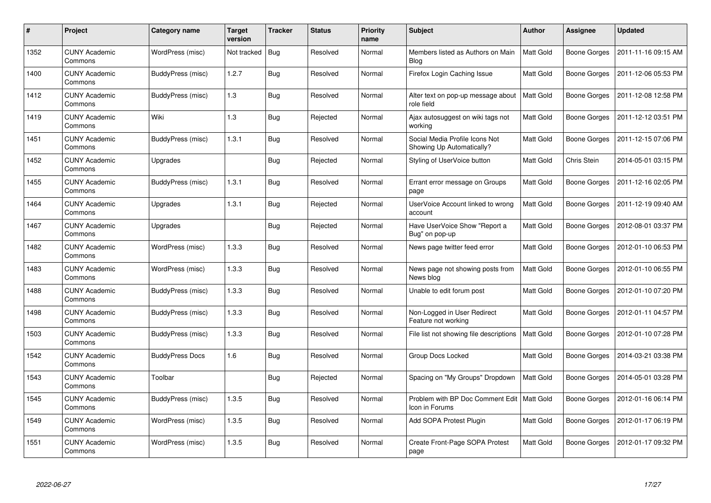| $\#$ | Project                         | Category name            | <b>Target</b><br>version | <b>Tracker</b> | Status   | <b>Priority</b><br>name | <b>Subject</b>                                                 | <b>Author</b>    | Assignee            | <b>Updated</b>      |
|------|---------------------------------|--------------------------|--------------------------|----------------|----------|-------------------------|----------------------------------------------------------------|------------------|---------------------|---------------------|
| 1352 | <b>CUNY Academic</b><br>Commons | WordPress (misc)         | Not tracked              | <b>Bug</b>     | Resolved | Normal                  | Members listed as Authors on Main<br><b>Blog</b>               | <b>Matt Gold</b> | Boone Gorges        | 2011-11-16 09:15 AM |
| 1400 | <b>CUNY Academic</b><br>Commons | BuddyPress (misc)        | 1.2.7                    | <b>Bug</b>     | Resolved | Normal                  | Firefox Login Caching Issue                                    | Matt Gold        | <b>Boone Gorges</b> | 2011-12-06 05:53 PM |
| 1412 | <b>CUNY Academic</b><br>Commons | BuddyPress (misc)        | 1.3                      | <b>Bug</b>     | Resolved | Normal                  | Alter text on pop-up message about<br>role field               | <b>Matt Gold</b> | <b>Boone Gorges</b> | 2011-12-08 12:58 PM |
| 1419 | <b>CUNY Academic</b><br>Commons | Wiki                     | 1.3                      | <b>Bug</b>     | Rejected | Normal                  | Ajax autosuggest on wiki tags not<br>working                   | Matt Gold        | <b>Boone Gorges</b> | 2011-12-12 03:51 PM |
| 1451 | <b>CUNY Academic</b><br>Commons | <b>BuddyPress (misc)</b> | 1.3.1                    | <b>Bug</b>     | Resolved | Normal                  | Social Media Profile Icons Not<br>Showing Up Automatically?    | <b>Matt Gold</b> | <b>Boone Gorges</b> | 2011-12-15 07:06 PM |
| 1452 | <b>CUNY Academic</b><br>Commons | Upgrades                 |                          | <b>Bug</b>     | Rejected | Normal                  | Styling of UserVoice button                                    | Matt Gold        | Chris Stein         | 2014-05-01 03:15 PM |
| 1455 | <b>CUNY Academic</b><br>Commons | BuddyPress (misc)        | 1.3.1                    | <b>Bug</b>     | Resolved | Normal                  | Errant error message on Groups<br>page                         | Matt Gold        | <b>Boone Gorges</b> | 2011-12-16 02:05 PM |
| 1464 | <b>CUNY Academic</b><br>Commons | Upgrades                 | 1.3.1                    | <b>Bug</b>     | Rejected | Normal                  | UserVoice Account linked to wrong<br>account                   | Matt Gold        | <b>Boone Gorges</b> | 2011-12-19 09:40 AM |
| 1467 | <b>CUNY Academic</b><br>Commons | Upgrades                 |                          | <b>Bug</b>     | Rejected | Normal                  | Have UserVoice Show "Report a<br>Bug" on pop-up                | <b>Matt Gold</b> | Boone Gorges        | 2012-08-01 03:37 PM |
| 1482 | <b>CUNY Academic</b><br>Commons | WordPress (misc)         | 1.3.3                    | <b>Bug</b>     | Resolved | Normal                  | News page twitter feed error                                   | Matt Gold        | <b>Boone Gorges</b> | 2012-01-10 06:53 PM |
| 1483 | <b>CUNY Academic</b><br>Commons | WordPress (misc)         | 1.3.3                    | <b>Bug</b>     | Resolved | Normal                  | News page not showing posts from<br>News blog                  | Matt Gold        | <b>Boone Gorges</b> | 2012-01-10 06:55 PM |
| 1488 | <b>CUNY Academic</b><br>Commons | BuddyPress (misc)        | 1.3.3                    | <b>Bug</b>     | Resolved | Normal                  | Unable to edit forum post                                      | Matt Gold        | <b>Boone Gorges</b> | 2012-01-10 07:20 PM |
| 1498 | <b>CUNY Academic</b><br>Commons | BuddyPress (misc)        | 1.3.3                    | Bug            | Resolved | Normal                  | Non-Logged in User Redirect<br>Feature not working             | Matt Gold        | Boone Gorges        | 2012-01-11 04:57 PM |
| 1503 | <b>CUNY Academic</b><br>Commons | <b>BuddyPress (misc)</b> | 1.3.3                    | <b>Bug</b>     | Resolved | Normal                  | File list not showing file descriptions                        | Matt Gold        | <b>Boone Gorges</b> | 2012-01-10 07:28 PM |
| 1542 | <b>CUNY Academic</b><br>Commons | <b>BuddyPress Docs</b>   | 1.6                      | <b>Bug</b>     | Resolved | Normal                  | Group Docs Locked                                              | Matt Gold        | <b>Boone Gorges</b> | 2014-03-21 03:38 PM |
| 1543 | <b>CUNY Academic</b><br>Commons | Toolbar                  |                          | <b>Bug</b>     | Rejected | Normal                  | Spacing on "My Groups" Dropdown                                | Matt Gold        | <b>Boone Gorges</b> | 2014-05-01 03:28 PM |
| 1545 | <b>CUNY Academic</b><br>Commons | BuddyPress (misc)        | 1.3.5                    | <b>Bug</b>     | Resolved | Normal                  | Problem with BP Doc Comment Edit   Matt Gold<br>Icon in Forums |                  | Boone Gorges        | 2012-01-16 06:14 PM |
| 1549 | <b>CUNY Academic</b><br>Commons | WordPress (misc)         | 1.3.5                    | <b>Bug</b>     | Resolved | Normal                  | Add SOPA Protest Plugin                                        | Matt Gold        | <b>Boone Gorges</b> | 2012-01-17 06:19 PM |
| 1551 | <b>CUNY Academic</b><br>Commons | WordPress (misc)         | 1.3.5                    | <b>Bug</b>     | Resolved | Normal                  | Create Front-Page SOPA Protest<br>page                         | Matt Gold        | Boone Gorges        | 2012-01-17 09:32 PM |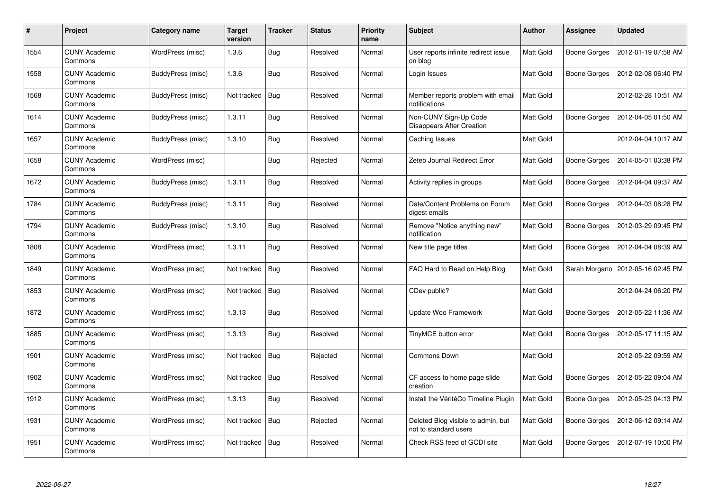| #    | Project                         | Category name            | <b>Target</b><br>version | <b>Tracker</b> | <b>Status</b> | <b>Priority</b><br>name | <b>Subject</b>                                              | <b>Author</b>    | Assignee            | <b>Updated</b>      |
|------|---------------------------------|--------------------------|--------------------------|----------------|---------------|-------------------------|-------------------------------------------------------------|------------------|---------------------|---------------------|
| 1554 | <b>CUNY Academic</b><br>Commons | WordPress (misc)         | 1.3.6                    | <b>Bug</b>     | Resolved      | Normal                  | User reports infinite redirect issue<br>on blog             | Matt Gold        | Boone Gorges        | 2012-01-19 07:58 AM |
| 1558 | <b>CUNY Academic</b><br>Commons | BuddyPress (misc)        | 1.3.6                    | <b>Bug</b>     | Resolved      | Normal                  | Login Issues                                                | <b>Matt Gold</b> | Boone Gorges        | 2012-02-08 06:40 PM |
| 1568 | <b>CUNY Academic</b><br>Commons | BuddyPress (misc)        | Not tracked              | Bug            | Resolved      | Normal                  | Member reports problem with email<br>notifications          | <b>Matt Gold</b> |                     | 2012-02-28 10:51 AM |
| 1614 | <b>CUNY Academic</b><br>Commons | BuddyPress (misc)        | 1.3.11                   | <b>Bug</b>     | Resolved      | Normal                  | Non-CUNY Sign-Up Code<br><b>Disappears After Creation</b>   | Matt Gold        | <b>Boone Gorges</b> | 2012-04-05 01:50 AM |
| 1657 | <b>CUNY Academic</b><br>Commons | BuddyPress (misc)        | 1.3.10                   | <b>Bug</b>     | Resolved      | Normal                  | Caching Issues                                              | Matt Gold        |                     | 2012-04-04 10:17 AM |
| 1658 | <b>CUNY Academic</b><br>Commons | WordPress (misc)         |                          | <b>Bug</b>     | Rejected      | Normal                  | Zeteo Journal Redirect Error                                | Matt Gold        | <b>Boone Gorges</b> | 2014-05-01 03:38 PM |
| 1672 | <b>CUNY Academic</b><br>Commons | <b>BuddyPress</b> (misc) | 1.3.11                   | Bug            | Resolved      | Normal                  | Activity replies in groups                                  | <b>Matt Gold</b> | <b>Boone Gorges</b> | 2012-04-04 09:37 AM |
| 1784 | <b>CUNY Academic</b><br>Commons | BuddyPress (misc)        | 1.3.11                   | <b>Bug</b>     | Resolved      | Normal                  | Date/Content Problems on Forum<br>digest emails             | Matt Gold        | Boone Gorges        | 2012-04-03 08:28 PM |
| 1794 | <b>CUNY Academic</b><br>Commons | BuddyPress (misc)        | 1.3.10                   | <b>Bug</b>     | Resolved      | Normal                  | Remove "Notice anything new"<br>notification                | Matt Gold        | <b>Boone Gorges</b> | 2012-03-29 09:45 PM |
| 1808 | <b>CUNY Academic</b><br>Commons | WordPress (misc)         | 1.3.11                   | <b>Bug</b>     | Resolved      | Normal                  | New title page titles                                       | <b>Matt Gold</b> | Boone Gorges        | 2012-04-04 08:39 AM |
| 1849 | <b>CUNY Academic</b><br>Commons | WordPress (misc)         | Not tracked              | Bug            | Resolved      | Normal                  | FAQ Hard to Read on Help Blog                               | Matt Gold        | Sarah Morgano       | 2012-05-16 02:45 PM |
| 1853 | <b>CUNY Academic</b><br>Commons | WordPress (misc)         | Not tracked              | <b>Bug</b>     | Resolved      | Normal                  | CDev public?                                                | Matt Gold        |                     | 2012-04-24 06:20 PM |
| 1872 | <b>CUNY Academic</b><br>Commons | WordPress (misc)         | 1.3.13                   | <b>Bug</b>     | Resolved      | Normal                  | Update Woo Framework                                        | Matt Gold        | Boone Gorges        | 2012-05-22 11:36 AM |
| 1885 | <b>CUNY Academic</b><br>Commons | WordPress (misc)         | 1.3.13                   | <b>Bug</b>     | Resolved      | Normal                  | TinyMCE button error                                        | Matt Gold        | Boone Gorges        | 2012-05-17 11:15 AM |
| 1901 | <b>CUNY Academic</b><br>Commons | WordPress (misc)         | Not tracked              | Bug            | Rejected      | Normal                  | Commons Down                                                | Matt Gold        |                     | 2012-05-22 09:59 AM |
| 1902 | <b>CUNY Academic</b><br>Commons | WordPress (misc)         | Not tracked              | <b>Bug</b>     | Resolved      | Normal                  | CF access to home page slide<br>creation                    | Matt Gold        | Boone Gorges        | 2012-05-22 09:04 AM |
| 1912 | <b>CUNY Academic</b><br>Commons | WordPress (misc)         | 1.3.13                   | <b>Bug</b>     | Resolved      | Normal                  | Install the VéritéCo Timeline Plugin                        | Matt Gold        | Boone Gorges        | 2012-05-23 04:13 PM |
| 1931 | <b>CUNY Academic</b><br>Commons | WordPress (misc)         | Not tracked              | <b>Bug</b>     | Rejected      | Normal                  | Deleted Blog visible to admin, but<br>not to standard users | Matt Gold        | Boone Gorges        | 2012-06-12 09:14 AM |
| 1951 | <b>CUNY Academic</b><br>Commons | WordPress (misc)         | Not tracked              | Bug            | Resolved      | Normal                  | Check RSS feed of GCDI site                                 | Matt Gold        | <b>Boone Gorges</b> | 2012-07-19 10:00 PM |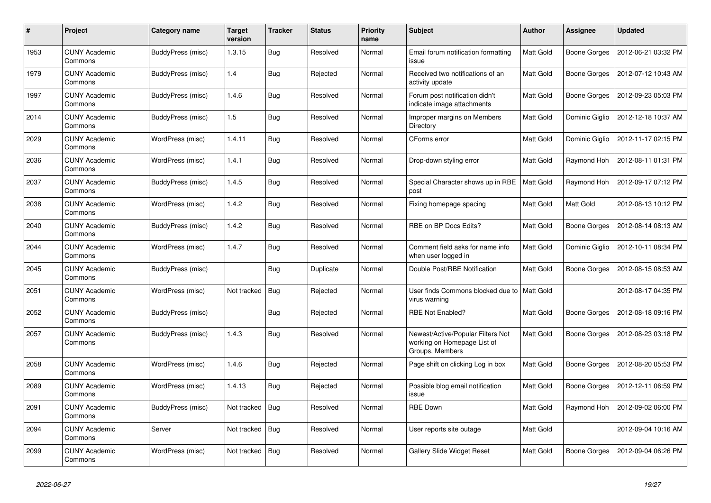| #    | Project                         | Category name            | <b>Target</b><br>version | <b>Tracker</b> | <b>Status</b> | <b>Priority</b><br>name | <b>Subject</b>                                                                      | <b>Author</b>    | Assignee            | <b>Updated</b>      |
|------|---------------------------------|--------------------------|--------------------------|----------------|---------------|-------------------------|-------------------------------------------------------------------------------------|------------------|---------------------|---------------------|
| 1953 | <b>CUNY Academic</b><br>Commons | BuddyPress (misc)        | 1.3.15                   | <b>Bug</b>     | Resolved      | Normal                  | Email forum notification formatting<br>issue                                        | <b>Matt Gold</b> | <b>Boone Gorges</b> | 2012-06-21 03:32 PM |
| 1979 | <b>CUNY Academic</b><br>Commons | BuddyPress (misc)        | 1.4                      | <b>Bug</b>     | Rejected      | Normal                  | Received two notifications of an<br>activity update                                 | <b>Matt Gold</b> | <b>Boone Gorges</b> | 2012-07-12 10:43 AM |
| 1997 | <b>CUNY Academic</b><br>Commons | <b>BuddyPress (misc)</b> | 1.4.6                    | <b>Bug</b>     | Resolved      | Normal                  | Forum post notification didn't<br>indicate image attachments                        | Matt Gold        | Boone Gorges        | 2012-09-23 05:03 PM |
| 2014 | <b>CUNY Academic</b><br>Commons | BuddyPress (misc)        | 1.5                      | <b>Bug</b>     | Resolved      | Normal                  | Improper margins on Members<br>Directory                                            | Matt Gold        | Dominic Giglio      | 2012-12-18 10:37 AM |
| 2029 | <b>CUNY Academic</b><br>Commons | WordPress (misc)         | 1.4.11                   | <b>Bug</b>     | Resolved      | Normal                  | CForms error                                                                        | Matt Gold        | Dominic Giglio      | 2012-11-17 02:15 PM |
| 2036 | <b>CUNY Academic</b><br>Commons | WordPress (misc)         | 1.4.1                    | <b>Bug</b>     | Resolved      | Normal                  | Drop-down styling error                                                             | Matt Gold        | Raymond Hoh         | 2012-08-11 01:31 PM |
| 2037 | <b>CUNY Academic</b><br>Commons | BuddyPress (misc)        | 1.4.5                    | <b>Bug</b>     | Resolved      | Normal                  | Special Character shows up in RBE<br>post                                           | <b>Matt Gold</b> | Raymond Hoh         | 2012-09-17 07:12 PM |
| 2038 | <b>CUNY Academic</b><br>Commons | WordPress (misc)         | 1.4.2                    | <b>Bug</b>     | Resolved      | Normal                  | Fixing homepage spacing                                                             | Matt Gold        | Matt Gold           | 2012-08-13 10:12 PM |
| 2040 | <b>CUNY Academic</b><br>Commons | BuddyPress (misc)        | 1.4.2                    | <b>Bug</b>     | Resolved      | Normal                  | RBE on BP Docs Edits?                                                               | Matt Gold        | <b>Boone Gorges</b> | 2012-08-14 08:13 AM |
| 2044 | <b>CUNY Academic</b><br>Commons | WordPress (misc)         | 1.4.7                    | Bug            | Resolved      | Normal                  | Comment field asks for name info<br>when user logged in                             | Matt Gold        | Dominic Giglio      | 2012-10-11 08:34 PM |
| 2045 | <b>CUNY Academic</b><br>Commons | BuddyPress (misc)        |                          | <b>Bug</b>     | Duplicate     | Normal                  | Double Post/RBE Notification                                                        | Matt Gold        | <b>Boone Gorges</b> | 2012-08-15 08:53 AM |
| 2051 | <b>CUNY Academic</b><br>Commons | WordPress (misc)         | Not tracked              | <b>Bug</b>     | Rejected      | Normal                  | User finds Commons blocked due to<br>virus warning                                  | Matt Gold        |                     | 2012-08-17 04:35 PM |
| 2052 | <b>CUNY Academic</b><br>Commons | BuddyPress (misc)        |                          | <b>Bug</b>     | Rejected      | Normal                  | RBE Not Enabled?                                                                    | Matt Gold        | <b>Boone Gorges</b> | 2012-08-18 09:16 PM |
| 2057 | CUNY Academic<br>Commons        | BuddyPress (misc)        | 1.4.3                    | Bug            | Resolved      | Normal                  | Newest/Active/Popular Filters Not<br>working on Homepage List of<br>Groups, Members | Matt Gold        | Boone Gorges        | 2012-08-23 03:18 PM |
| 2058 | <b>CUNY Academic</b><br>Commons | WordPress (misc)         | 1.4.6                    | <b>Bug</b>     | Rejected      | Normal                  | Page shift on clicking Log in box                                                   | Matt Gold        | <b>Boone Gorges</b> | 2012-08-20 05:53 PM |
| 2089 | <b>CUNY Academic</b><br>Commons | WordPress (misc)         | 1.4.13                   | Bug            | Rejected      | Normal                  | Possible blog email notification<br>issue                                           | Matt Gold        | <b>Boone Gorges</b> | 2012-12-11 06:59 PM |
| 2091 | <b>CUNY Academic</b><br>Commons | <b>BuddyPress (misc)</b> | Not tracked              | Bug            | Resolved      | Normal                  | <b>RBE Down</b>                                                                     | Matt Gold        | Raymond Hoh         | 2012-09-02 06:00 PM |
| 2094 | <b>CUNY Academic</b><br>Commons | Server                   | Not tracked              | <b>Bug</b>     | Resolved      | Normal                  | User reports site outage                                                            | Matt Gold        |                     | 2012-09-04 10:16 AM |
| 2099 | <b>CUNY Academic</b><br>Commons | WordPress (misc)         | Not tracked              | <b>Bug</b>     | Resolved      | Normal                  | Gallery Slide Widget Reset                                                          | Matt Gold        | <b>Boone Gorges</b> | 2012-09-04 06:26 PM |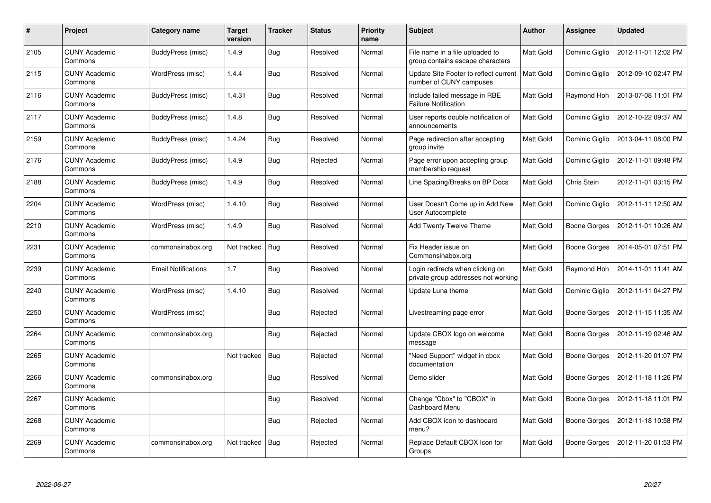| $\#$ | Project                         | Category name              | <b>Target</b><br>version | Tracker    | <b>Status</b> | <b>Priority</b><br>name | <b>Subject</b>                                                          | <b>Author</b> | Assignee       | <b>Updated</b>      |
|------|---------------------------------|----------------------------|--------------------------|------------|---------------|-------------------------|-------------------------------------------------------------------------|---------------|----------------|---------------------|
| 2105 | <b>CUNY Academic</b><br>Commons | BuddyPress (misc)          | 1.4.9                    | <b>Bug</b> | Resolved      | Normal                  | File name in a file uploaded to<br>group contains escape characters     | Matt Gold     | Dominic Giglio | 2012-11-01 12:02 PM |
| 2115 | <b>CUNY Academic</b><br>Commons | WordPress (misc)           | 1.4.4                    | <b>Bug</b> | Resolved      | Normal                  | Update Site Footer to reflect current<br>number of CUNY campuses        | Matt Gold     | Dominic Giglio | 2012-09-10 02:47 PM |
| 2116 | <b>CUNY Academic</b><br>Commons | BuddyPress (misc)          | 1.4.31                   | <b>Bug</b> | Resolved      | Normal                  | Include failed message in RBE<br><b>Failure Notification</b>            | Matt Gold     | Raymond Hoh    | 2013-07-08 11:01 PM |
| 2117 | <b>CUNY Academic</b><br>Commons | BuddyPress (misc)          | 1.4.8                    | <b>Bug</b> | Resolved      | Normal                  | User reports double notification of<br>announcements                    | Matt Gold     | Dominic Giglio | 2012-10-22 09:37 AM |
| 2159 | <b>CUNY Academic</b><br>Commons | <b>BuddyPress (misc)</b>   | 1.4.24                   | Bug        | Resolved      | Normal                  | Page redirection after accepting<br>group invite                        | Matt Gold     | Dominic Giglio | 2013-04-11 08:00 PM |
| 2176 | <b>CUNY Academic</b><br>Commons | BuddyPress (misc)          | 1.4.9                    | Bug        | Rejected      | Normal                  | Page error upon accepting group<br>membership request                   | Matt Gold     | Dominic Giglio | 2012-11-01 09:48 PM |
| 2188 | <b>CUNY Academic</b><br>Commons | <b>BuddyPress (misc)</b>   | 1.4.9                    | <b>Bug</b> | Resolved      | Normal                  | Line Spacing/Breaks on BP Docs                                          | Matt Gold     | Chris Stein    | 2012-11-01 03:15 PM |
| 2204 | <b>CUNY Academic</b><br>Commons | WordPress (misc)           | 1.4.10                   | <b>Bug</b> | Resolved      | Normal                  | User Doesn't Come up in Add New<br>User Autocomplete                    | Matt Gold     | Dominic Giglio | 2012-11-11 12:50 AM |
| 2210 | <b>CUNY Academic</b><br>Commons | WordPress (misc)           | 1.4.9                    | <b>Bug</b> | Resolved      | Normal                  | <b>Add Twenty Twelve Theme</b>                                          | Matt Gold     | Boone Gorges   | 2012-11-01 10:26 AM |
| 2231 | <b>CUNY Academic</b><br>Commons | commonsinabox.org          | Not tracked              | <b>Bug</b> | Resolved      | Normal                  | Fix Header issue on<br>Commonsinabox.org                                | Matt Gold     | Boone Gorges   | 2014-05-01 07:51 PM |
| 2239 | <b>CUNY Academic</b><br>Commons | <b>Email Notifications</b> | 1.7                      | <b>Bug</b> | Resolved      | Normal                  | Login redirects when clicking on<br>private group addresses not working | Matt Gold     | Raymond Hoh    | 2014-11-01 11:41 AM |
| 2240 | <b>CUNY Academic</b><br>Commons | WordPress (misc)           | 1.4.10                   | <b>Bug</b> | Resolved      | Normal                  | Update Luna theme                                                       | Matt Gold     | Dominic Giglio | 2012-11-11 04:27 PM |
| 2250 | <b>CUNY Academic</b><br>Commons | WordPress (misc)           |                          | <b>Bug</b> | Rejected      | Normal                  | Livestreaming page error                                                | Matt Gold     | Boone Gorges   | 2012-11-15 11:35 AM |
| 2264 | <b>CUNY Academic</b><br>Commons | commonsinabox.org          |                          | <b>Bug</b> | Rejected      | Normal                  | Update CBOX logo on welcome<br>message                                  | Matt Gold     | Boone Gorges   | 2012-11-19 02:46 AM |
| 2265 | <b>CUNY Academic</b><br>Commons |                            | Not tracked              | <b>Bug</b> | Rejected      | Normal                  | "Need Support" widget in cbox<br>documentation                          | Matt Gold     | Boone Gorges   | 2012-11-20 01:07 PM |
| 2266 | <b>CUNY Academic</b><br>Commons | commonsinabox.org          |                          | <b>Bug</b> | Resolved      | Normal                  | Demo slider                                                             | Matt Gold     | Boone Gorges   | 2012-11-18 11:26 PM |
| 2267 | <b>CUNY Academic</b><br>Commons |                            |                          | Bug        | Resolved      | Normal                  | Change "Cbox" to "CBOX" in<br>Dashboard Menu                            | Matt Gold     | Boone Gorges   | 2012-11-18 11:01 PM |
| 2268 | <b>CUNY Academic</b><br>Commons |                            |                          | <b>Bug</b> | Rejected      | Normal                  | Add CBOX icon to dashboard<br>menu?                                     | Matt Gold     | Boone Gorges   | 2012-11-18 10:58 PM |
| 2269 | <b>CUNY Academic</b><br>Commons | commonsinabox.org          | Not tracked              | Bug        | Rejected      | Normal                  | Replace Default CBOX Icon for<br>Groups                                 | Matt Gold     | Boone Gorges   | 2012-11-20 01:53 PM |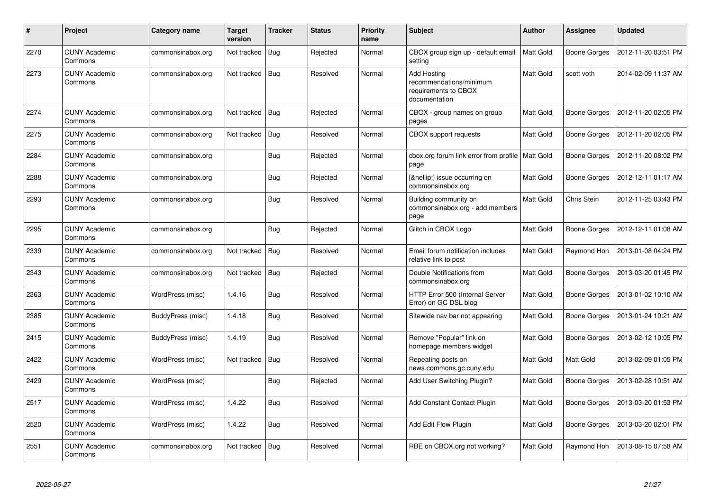| #    | <b>Project</b>                  | Category name     | <b>Target</b><br>version | Tracker    | <b>Status</b> | <b>Priority</b><br>name | <b>Subject</b>                                                                         | <b>Author</b>    | <b>Assignee</b>     | <b>Updated</b>      |
|------|---------------------------------|-------------------|--------------------------|------------|---------------|-------------------------|----------------------------------------------------------------------------------------|------------------|---------------------|---------------------|
| 2270 | <b>CUNY Academic</b><br>Commons | commonsinabox.org | Not tracked              | Bug        | Rejected      | Normal                  | CBOX group sign up - default email<br>setting                                          | Matt Gold        | Boone Gorges        | 2012-11-20 03:51 PM |
| 2273 | <b>CUNY Academic</b><br>Commons | commonsinabox.org | Not tracked              | Bug        | Resolved      | Normal                  | <b>Add Hosting</b><br>recommendations/minimum<br>requirements to CBOX<br>documentation | Matt Gold        | scott voth          | 2014-02-09 11:37 AM |
| 2274 | <b>CUNY Academic</b><br>Commons | commonsinabox.org | Not tracked              | <b>Bug</b> | Rejected      | Normal                  | CBOX - group names on group<br>pages                                                   | Matt Gold        | Boone Gorges        | 2012-11-20 02:05 PM |
| 2275 | <b>CUNY Academic</b><br>Commons | commonsinabox.org | Not tracked              | Bug        | Resolved      | Normal                  | <b>CBOX</b> support requests                                                           | Matt Gold        | Boone Gorges        | 2012-11-20 02:05 PM |
| 2284 | <b>CUNY Academic</b><br>Commons | commonsinabox.org |                          | <b>Bug</b> | Rejected      | Normal                  | cbox.org forum link error from profile<br>page                                         | <b>Matt Gold</b> | Boone Gorges        | 2012-11-20 08:02 PM |
| 2288 | <b>CUNY Academic</b><br>Commons | commonsinabox.org |                          | <b>Bug</b> | Rejected      | Normal                  | […] issue occurring on<br>commonsinabox.org                                            | Matt Gold        | <b>Boone Gorges</b> | 2012-12-11 01:17 AM |
| 2293 | <b>CUNY Academic</b><br>Commons | commonsinabox.org |                          | <b>Bug</b> | Resolved      | Normal                  | Building community on<br>commonsinabox.org - add members<br>page                       | Matt Gold        | Chris Stein         | 2012-11-25 03:43 PM |
| 2295 | <b>CUNY Academic</b><br>Commons | commonsinabox.org |                          | Bug        | Rejected      | Normal                  | Glitch in CBOX Logo                                                                    | Matt Gold        | Boone Gorges        | 2012-12-11 01:08 AM |
| 2339 | <b>CUNY Academic</b><br>Commons | commonsinabox.org | Not tracked              | Bug        | Resolved      | Normal                  | Email forum notification includes<br>relative link to post                             | Matt Gold        | Raymond Hoh         | 2013-01-08 04:24 PM |
| 2343 | <b>CUNY Academic</b><br>Commons | commonsinabox.org | Not tracked              | Bug        | Rejected      | Normal                  | Double Notifications from<br>commonsinabox.org                                         | Matt Gold        | Boone Gorges        | 2013-03-20 01:45 PM |
| 2363 | <b>CUNY Academic</b><br>Commons | WordPress (misc)  | 1.4.16                   | Bug        | Resolved      | Normal                  | HTTP Error 500 (Internal Server<br>Error) on GC DSL blog                               | Matt Gold        | Boone Gorges        | 2013-01-02 10:10 AM |
| 2385 | <b>CUNY Academic</b><br>Commons | BuddyPress (misc) | 1.4.18                   | Bug        | Resolved      | Normal                  | Sitewide nav bar not appearing                                                         | Matt Gold        | <b>Boone Gorges</b> | 2013-01-24 10:21 AM |
| 2415 | <b>CUNY Academic</b><br>Commons | BuddyPress (misc) | 1.4.19                   | Bug        | Resolved      | Normal                  | Remove "Popular" link on<br>homepage members widget                                    | Matt Gold        | Boone Gorges        | 2013-02-12 10:05 PM |
| 2422 | <b>CUNY Academic</b><br>Commons | WordPress (misc)  | Not tracked              | <b>Bug</b> | Resolved      | Normal                  | Repeating posts on<br>news.commons.gc.cuny.edu                                         | Matt Gold        | <b>Matt Gold</b>    | 2013-02-09 01:05 PM |
| 2429 | <b>CUNY Academic</b><br>Commons | WordPress (misc)  |                          | <b>Bug</b> | Rejected      | Normal                  | Add User Switching Plugin?                                                             | Matt Gold        | <b>Boone Gorges</b> | 2013-02-28 10:51 AM |
| 2517 | <b>CUNY Academic</b><br>Commons | WordPress (misc)  | 1.4.22                   | <b>Bug</b> | Resolved      | Normal                  | Add Constant Contact Plugin                                                            | Matt Gold        | Boone Gorges        | 2013-03-20 01:53 PM |
| 2520 | <b>CUNY Academic</b><br>Commons | WordPress (misc)  | 1.4.22                   | <b>Bug</b> | Resolved      | Normal                  | Add Edit Flow Plugin                                                                   | Matt Gold        | Boone Gorges        | 2013-03-20 02:01 PM |
| 2551 | <b>CUNY Academic</b><br>Commons | commonsinabox.org | Not tracked              | Bug        | Resolved      | Normal                  | RBE on CBOX.org not working?                                                           | Matt Gold        | Raymond Hoh         | 2013-08-15 07:58 AM |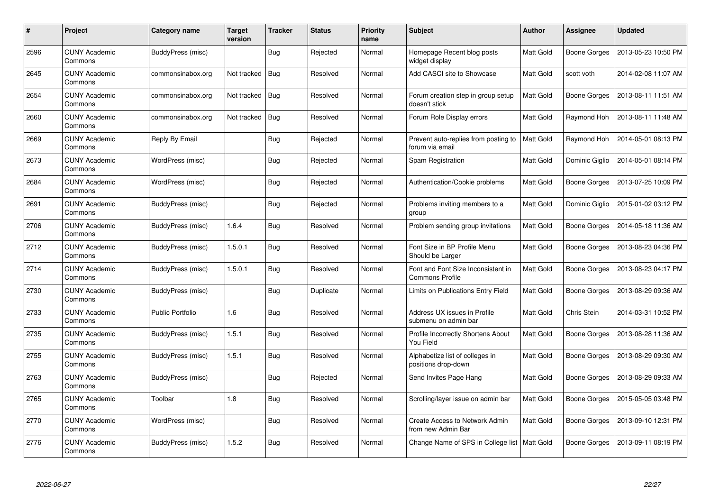| #    | Project                         | Category name           | <b>Target</b><br>version | <b>Tracker</b> | <b>Status</b> | <b>Priority</b><br>name | <b>Subject</b>                                               | <b>Author</b>    | <b>Assignee</b>     | <b>Updated</b>      |
|------|---------------------------------|-------------------------|--------------------------|----------------|---------------|-------------------------|--------------------------------------------------------------|------------------|---------------------|---------------------|
| 2596 | <b>CUNY Academic</b><br>Commons | BuddyPress (misc)       |                          | <b>Bug</b>     | Rejected      | Normal                  | Homepage Recent blog posts<br>widget display                 | <b>Matt Gold</b> | Boone Gorges        | 2013-05-23 10:50 PM |
| 2645 | <b>CUNY Academic</b><br>Commons | commonsinabox.org       | Not tracked              | Bug            | Resolved      | Normal                  | Add CASCI site to Showcase                                   | Matt Gold        | scott voth          | 2014-02-08 11:07 AM |
| 2654 | <b>CUNY Academic</b><br>Commons | commonsinabox.org       | Not tracked              | <b>Bug</b>     | Resolved      | Normal                  | Forum creation step in group setup<br>doesn't stick          | Matt Gold        | <b>Boone Gorges</b> | 2013-08-11 11:51 AM |
| 2660 | <b>CUNY Academic</b><br>Commons | commonsinabox.org       | Not tracked              | <b>Bug</b>     | Resolved      | Normal                  | Forum Role Display errors                                    | Matt Gold        | Raymond Hoh         | 2013-08-11 11:48 AM |
| 2669 | <b>CUNY Academic</b><br>Commons | Reply By Email          |                          | <b>Bug</b>     | Rejected      | Normal                  | Prevent auto-replies from posting to<br>forum via email      | <b>Matt Gold</b> | Raymond Hoh         | 2014-05-01 08:13 PM |
| 2673 | <b>CUNY Academic</b><br>Commons | WordPress (misc)        |                          | <b>Bug</b>     | Rejected      | Normal                  | Spam Registration                                            | Matt Gold        | Dominic Giglio      | 2014-05-01 08:14 PM |
| 2684 | <b>CUNY Academic</b><br>Commons | WordPress (misc)        |                          | <b>Bug</b>     | Rejected      | Normal                  | Authentication/Cookie problems                               | <b>Matt Gold</b> | <b>Boone Gorges</b> | 2013-07-25 10:09 PM |
| 2691 | <b>CUNY Academic</b><br>Commons | BuddyPress (misc)       |                          | <b>Bug</b>     | Rejected      | Normal                  | Problems inviting members to a<br>group                      | Matt Gold        | Dominic Giglio      | 2015-01-02 03:12 PM |
| 2706 | <b>CUNY Academic</b><br>Commons | BuddyPress (misc)       | 1.6.4                    | <b>Bug</b>     | Resolved      | Normal                  | Problem sending group invitations                            | Matt Gold        | Boone Gorges        | 2014-05-18 11:36 AM |
| 2712 | <b>CUNY Academic</b><br>Commons | BuddyPress (misc)       | 1.5.0.1                  | <b>Bug</b>     | Resolved      | Normal                  | Font Size in BP Profile Menu<br>Should be Larger             | Matt Gold        | Boone Gorges        | 2013-08-23 04:36 PM |
| 2714 | <b>CUNY Academic</b><br>Commons | BuddyPress (misc)       | 1.5.0.1                  | Bug            | Resolved      | Normal                  | Font and Font Size Inconsistent in<br><b>Commons Profile</b> | Matt Gold        | Boone Gorges        | 2013-08-23 04:17 PM |
| 2730 | <b>CUNY Academic</b><br>Commons | BuddyPress (misc)       |                          | <b>Bug</b>     | Duplicate     | Normal                  | Limits on Publications Entry Field                           | Matt Gold        | <b>Boone Gorges</b> | 2013-08-29 09:36 AM |
| 2733 | <b>CUNY Academic</b><br>Commons | <b>Public Portfolio</b> | 1.6                      | Bug            | Resolved      | Normal                  | Address UX issues in Profile<br>submenu on admin bar         | <b>Matt Gold</b> | Chris Stein         | 2014-03-31 10:52 PM |
| 2735 | <b>CUNY Academic</b><br>Commons | BuddyPress (misc)       | 1.5.1                    | Bug            | Resolved      | Normal                  | Profile Incorrectly Shortens About<br>You Field              | <b>Matt Gold</b> | Boone Gorges        | 2013-08-28 11:36 AM |
| 2755 | <b>CUNY Academic</b><br>Commons | BuddyPress (misc)       | 1.5.1                    | <b>Bug</b>     | Resolved      | Normal                  | Alphabetize list of colleges in<br>positions drop-down       | Matt Gold        | Boone Gorges        | 2013-08-29 09:30 AM |
| 2763 | <b>CUNY Academic</b><br>Commons | BuddyPress (misc)       |                          | <b>Bug</b>     | Rejected      | Normal                  | Send Invites Page Hang                                       | Matt Gold        | Boone Gorges        | 2013-08-29 09:33 AM |
| 2765 | <b>CUNY Academic</b><br>Commons | Toolbar                 | 1.8                      | Bug            | Resolved      | Normal                  | Scrolling/layer issue on admin bar                           | Matt Gold        | Boone Gorges        | 2015-05-05 03:48 PM |
| 2770 | <b>CUNY Academic</b><br>Commons | WordPress (misc)        |                          | <b>Bug</b>     | Resolved      | Normal                  | Create Access to Network Admin<br>from new Admin Bar         | Matt Gold        | Boone Gorges        | 2013-09-10 12:31 PM |
| 2776 | <b>CUNY Academic</b><br>Commons | BuddyPress (misc)       | 1.5.2                    | <b>Bug</b>     | Resolved      | Normal                  | Change Name of SPS in College list   Matt Gold               |                  | Boone Gorges        | 2013-09-11 08:19 PM |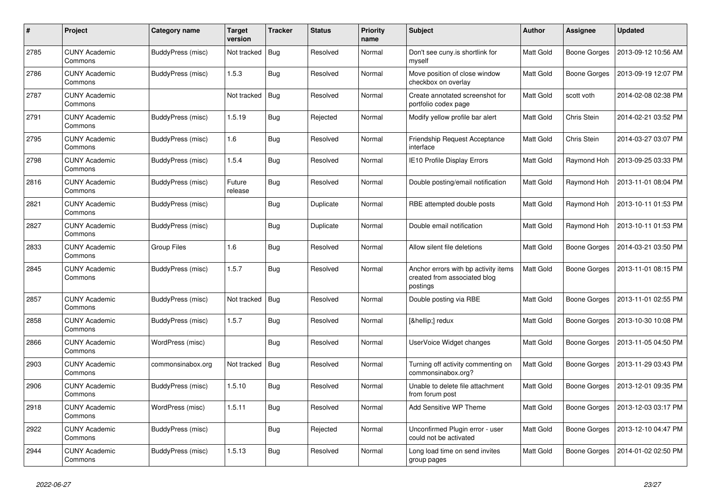| #    | Project                         | Category name            | <b>Target</b><br>version | <b>Tracker</b> | Status    | <b>Priority</b><br>name | <b>Subject</b>                                                                   | <b>Author</b>    | Assignee            | <b>Updated</b>      |
|------|---------------------------------|--------------------------|--------------------------|----------------|-----------|-------------------------|----------------------------------------------------------------------------------|------------------|---------------------|---------------------|
| 2785 | <b>CUNY Academic</b><br>Commons | BuddyPress (misc)        | Not tracked              | <b>Bug</b>     | Resolved  | Normal                  | Don't see cuny.is shortlink for<br>myself                                        | <b>Matt Gold</b> | <b>Boone Gorges</b> | 2013-09-12 10:56 AM |
| 2786 | <b>CUNY Academic</b><br>Commons | <b>BuddyPress (misc)</b> | 1.5.3                    | <b>Bug</b>     | Resolved  | Normal                  | Move position of close window<br>checkbox on overlay                             | Matt Gold        | Boone Gorges        | 2013-09-19 12:07 PM |
| 2787 | <b>CUNY Academic</b><br>Commons |                          | Not tracked              | <b>Bug</b>     | Resolved  | Normal                  | Create annotated screenshot for<br>portfolio codex page                          | Matt Gold        | scott voth          | 2014-02-08 02:38 PM |
| 2791 | <b>CUNY Academic</b><br>Commons | <b>BuddyPress (misc)</b> | 1.5.19                   | <b>Bug</b>     | Rejected  | Normal                  | Modify yellow profile bar alert                                                  | Matt Gold        | Chris Stein         | 2014-02-21 03:52 PM |
| 2795 | <b>CUNY Academic</b><br>Commons | BuddyPress (misc)        | 1.6                      | <b>Bug</b>     | Resolved  | Normal                  | <b>Friendship Request Acceptance</b><br>interface                                | Matt Gold        | Chris Stein         | 2014-03-27 03:07 PM |
| 2798 | <b>CUNY Academic</b><br>Commons | BuddyPress (misc)        | 1.5.4                    | <b>Bug</b>     | Resolved  | Normal                  | IE10 Profile Display Errors                                                      | Matt Gold        | Raymond Hoh         | 2013-09-25 03:33 PM |
| 2816 | <b>CUNY Academic</b><br>Commons | BuddyPress (misc)        | Future<br>release        | <b>Bug</b>     | Resolved  | Normal                  | Double posting/email notification                                                | Matt Gold        | Raymond Hoh         | 2013-11-01 08:04 PM |
| 2821 | <b>CUNY Academic</b><br>Commons | BuddyPress (misc)        |                          | <b>Bug</b>     | Duplicate | Normal                  | RBE attempted double posts                                                       | Matt Gold        | Raymond Hoh         | 2013-10-11 01:53 PM |
| 2827 | <b>CUNY Academic</b><br>Commons | BuddyPress (misc)        |                          | <b>Bug</b>     | Duplicate | Normal                  | Double email notification                                                        | Matt Gold        | Raymond Hoh         | 2013-10-11 01:53 PM |
| 2833 | <b>CUNY Academic</b><br>Commons | Group Files              | 1.6                      | <b>Bug</b>     | Resolved  | Normal                  | Allow silent file deletions                                                      | Matt Gold        | <b>Boone Gorges</b> | 2014-03-21 03:50 PM |
| 2845 | <b>CUNY Academic</b><br>Commons | <b>BuddyPress (misc)</b> | 1.5.7                    | <b>Bug</b>     | Resolved  | Normal                  | Anchor errors with bp activity items<br>created from associated blog<br>postings | Matt Gold        | <b>Boone Gorges</b> | 2013-11-01 08:15 PM |
| 2857 | <b>CUNY Academic</b><br>Commons | BuddyPress (misc)        | Not tracked              | <b>Bug</b>     | Resolved  | Normal                  | Double posting via RBE                                                           | Matt Gold        | Boone Gorges        | 2013-11-01 02:55 PM |
| 2858 | <b>CUNY Academic</b><br>Commons | BuddyPress (misc)        | 1.5.7                    | <b>Bug</b>     | Resolved  | Normal                  | […] redux                                                                        | Matt Gold        | <b>Boone Gorges</b> | 2013-10-30 10:08 PM |
| 2866 | <b>CUNY Academic</b><br>Commons | WordPress (misc)         |                          | <b>Bug</b>     | Resolved  | Normal                  | UserVoice Widget changes                                                         | Matt Gold        | Boone Gorges        | 2013-11-05 04:50 PM |
| 2903 | <b>CUNY Academic</b><br>Commons | commonsinabox.org        | Not tracked              | <b>Bug</b>     | Resolved  | Normal                  | Turning off activity commenting on<br>commonsinabox.org?                         | Matt Gold        | <b>Boone Gorges</b> | 2013-11-29 03:43 PM |
| 2906 | <b>CUNY Academic</b><br>Commons | BuddyPress (misc)        | 1.5.10                   | <b>Bug</b>     | Resolved  | Normal                  | Unable to delete file attachment<br>from forum post                              | Matt Gold        | <b>Boone Gorges</b> | 2013-12-01 09:35 PM |
| 2918 | <b>CUNY Academic</b><br>Commons | WordPress (misc)         | 1.5.11                   | <b>Bug</b>     | Resolved  | Normal                  | Add Sensitive WP Theme                                                           | Matt Gold        | Boone Gorges        | 2013-12-03 03:17 PM |
| 2922 | <b>CUNY Academic</b><br>Commons | BuddyPress (misc)        |                          | <b>Bug</b>     | Rejected  | Normal                  | Unconfirmed Plugin error - user<br>could not be activated                        | Matt Gold        | <b>Boone Gorges</b> | 2013-12-10 04:47 PM |
| 2944 | <b>CUNY Academic</b><br>Commons | BuddyPress (misc)        | 1.5.13                   | <b>Bug</b>     | Resolved  | Normal                  | Long load time on send invites<br>group pages                                    | Matt Gold        | Boone Gorges        | 2014-01-02 02:50 PM |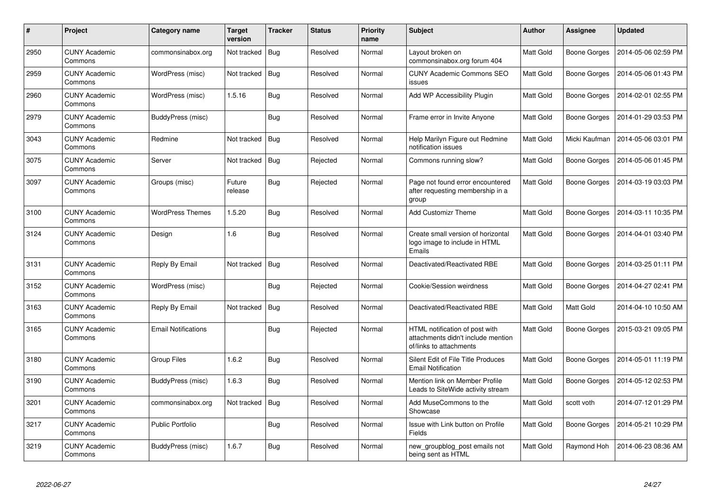| #    | Project                         | Category name              | Target<br>version | <b>Tracker</b> | <b>Status</b> | <b>Priority</b><br>name | <b>Subject</b>                                                                                  | <b>Author</b>    | Assignee            | <b>Updated</b>      |
|------|---------------------------------|----------------------------|-------------------|----------------|---------------|-------------------------|-------------------------------------------------------------------------------------------------|------------------|---------------------|---------------------|
| 2950 | <b>CUNY Academic</b><br>Commons | commonsinabox.org          | Not tracked       | <b>Bug</b>     | Resolved      | Normal                  | Layout broken on<br>commonsinabox.org forum 404                                                 | <b>Matt Gold</b> | Boone Gorges        | 2014-05-06 02:59 PM |
| 2959 | <b>CUNY Academic</b><br>Commons | WordPress (misc)           | Not tracked       | <b>Bug</b>     | Resolved      | Normal                  | <b>CUNY Academic Commons SEO</b><br>issues                                                      | Matt Gold        | Boone Gorges        | 2014-05-06 01:43 PM |
| 2960 | <b>CUNY Academic</b><br>Commons | WordPress (misc)           | 1.5.16            | <b>Bug</b>     | Resolved      | Normal                  | Add WP Accessibility Plugin                                                                     | Matt Gold        | Boone Gorges        | 2014-02-01 02:55 PM |
| 2979 | <b>CUNY Academic</b><br>Commons | BuddyPress (misc)          |                   | Bug            | Resolved      | Normal                  | Frame error in Invite Anyone                                                                    | Matt Gold        | <b>Boone Gorges</b> | 2014-01-29 03:53 PM |
| 3043 | <b>CUNY Academic</b><br>Commons | Redmine                    | Not tracked       | <b>Bug</b>     | Resolved      | Normal                  | Help Marilyn Figure out Redmine<br>notification issues                                          | Matt Gold        | Micki Kaufman       | 2014-05-06 03:01 PM |
| 3075 | <b>CUNY Academic</b><br>Commons | Server                     | Not tracked       | <b>Bug</b>     | Rejected      | Normal                  | Commons running slow?                                                                           | Matt Gold        | Boone Gorges        | 2014-05-06 01:45 PM |
| 3097 | <b>CUNY Academic</b><br>Commons | Groups (misc)              | Future<br>release | <b>Bug</b>     | Rejected      | Normal                  | Page not found error encountered<br>after requesting membership in a<br>group                   | Matt Gold        | Boone Gorges        | 2014-03-19 03:03 PM |
| 3100 | <b>CUNY Academic</b><br>Commons | <b>WordPress Themes</b>    | 1.5.20            | <b>Bug</b>     | Resolved      | Normal                  | <b>Add Customizr Theme</b>                                                                      | Matt Gold        | Boone Gorges        | 2014-03-11 10:35 PM |
| 3124 | <b>CUNY Academic</b><br>Commons | Design                     | 1.6               | Bug            | Resolved      | Normal                  | Create small version of horizontal<br>logo image to include in HTML<br>Emails                   | Matt Gold        | Boone Gorges        | 2014-04-01 03:40 PM |
| 3131 | <b>CUNY Academic</b><br>Commons | Reply By Email             | Not tracked       | <b>Bug</b>     | Resolved      | Normal                  | Deactivated/Reactivated RBE                                                                     | Matt Gold        | Boone Gorges        | 2014-03-25 01:11 PM |
| 3152 | <b>CUNY Academic</b><br>Commons | WordPress (misc)           |                   | <b>Bug</b>     | Rejected      | Normal                  | Cookie/Session weirdness                                                                        | Matt Gold        | Boone Gorges        | 2014-04-27 02:41 PM |
| 3163 | <b>CUNY Academic</b><br>Commons | Reply By Email             | Not tracked       | <b>Bug</b>     | Resolved      | Normal                  | Deactivated/Reactivated RBE                                                                     | Matt Gold        | Matt Gold           | 2014-04-10 10:50 AM |
| 3165 | <b>CUNY Academic</b><br>Commons | <b>Email Notifications</b> |                   | <b>Bug</b>     | Rejected      | Normal                  | HTML notification of post with<br>attachments didn't include mention<br>of/links to attachments | Matt Gold        | Boone Gorges        | 2015-03-21 09:05 PM |
| 3180 | <b>CUNY Academic</b><br>Commons | <b>Group Files</b>         | 1.6.2             | <b>Bug</b>     | Resolved      | Normal                  | Silent Edit of File Title Produces<br><b>Email Notification</b>                                 | Matt Gold        | Boone Gorges        | 2014-05-01 11:19 PM |
| 3190 | <b>CUNY Academic</b><br>Commons | BuddyPress (misc)          | 1.6.3             | Bug            | Resolved      | Normal                  | Mention link on Member Profile<br>Leads to SiteWide activity stream                             | Matt Gold        | Boone Gorges        | 2014-05-12 02:53 PM |
| 3201 | <b>CUNY Academic</b><br>Commons | commonsinabox.org          | Not tracked       | <b>Bug</b>     | Resolved      | Normal                  | Add MuseCommons to the<br>Showcase                                                              | Matt Gold        | scott voth          | 2014-07-12 01:29 PM |
| 3217 | <b>CUNY Academic</b><br>Commons | <b>Public Portfolio</b>    |                   | <b>Bug</b>     | Resolved      | Normal                  | Issue with Link button on Profile<br>Fields                                                     | Matt Gold        | Boone Gorges        | 2014-05-21 10:29 PM |
| 3219 | CUNY Academic<br>Commons        | <b>BuddyPress (misc)</b>   | 1.6.7             | <b>Bug</b>     | Resolved      | Normal                  | new_groupblog_post emails not<br>being sent as HTML                                             | Matt Gold        | Raymond Hoh         | 2014-06-23 08:36 AM |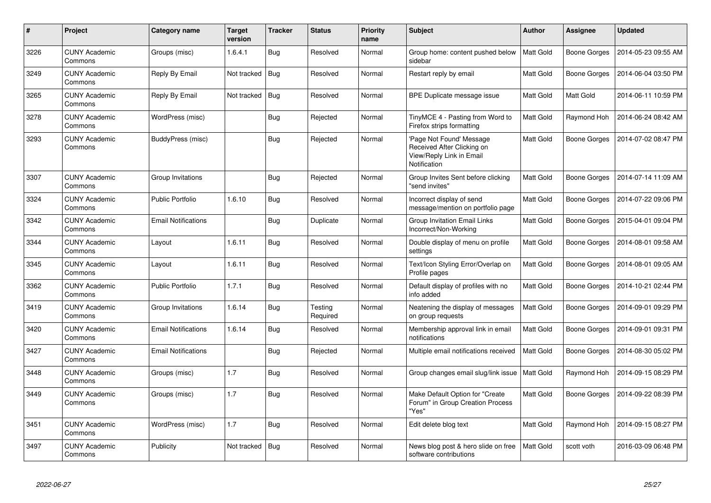| #    | Project                         | Category name              | <b>Target</b><br>version | <b>Tracker</b> | <b>Status</b>       | <b>Priority</b><br>name | <b>Subject</b>                                                                                     | <b>Author</b> | Assignee            | <b>Updated</b>      |
|------|---------------------------------|----------------------------|--------------------------|----------------|---------------------|-------------------------|----------------------------------------------------------------------------------------------------|---------------|---------------------|---------------------|
| 3226 | <b>CUNY Academic</b><br>Commons | Groups (misc)              | 1.6.4.1                  | Bug            | Resolved            | Normal                  | Group home: content pushed below<br>sidebar                                                        | Matt Gold     | <b>Boone Gorges</b> | 2014-05-23 09:55 AM |
| 3249 | <b>CUNY Academic</b><br>Commons | Reply By Email             | Not tracked              | Bug            | Resolved            | Normal                  | Restart reply by email                                                                             | Matt Gold     | <b>Boone Gorges</b> | 2014-06-04 03:50 PM |
| 3265 | <b>CUNY Academic</b><br>Commons | Reply By Email             | Not tracked              | <b>Bug</b>     | Resolved            | Normal                  | BPE Duplicate message issue                                                                        | Matt Gold     | <b>Matt Gold</b>    | 2014-06-11 10:59 PM |
| 3278 | <b>CUNY Academic</b><br>Commons | WordPress (misc)           |                          | Bug            | Rejected            | Normal                  | TinyMCE 4 - Pasting from Word to<br>Firefox strips formatting                                      | Matt Gold     | Raymond Hoh         | 2014-06-24 08:42 AM |
| 3293 | <b>CUNY Academic</b><br>Commons | BuddyPress (misc)          |                          | <b>Bug</b>     | Rejected            | Normal                  | 'Page Not Found' Message<br>Received After Clicking on<br>View/Reply Link in Email<br>Notification | Matt Gold     | Boone Gorges        | 2014-07-02 08:47 PM |
| 3307 | <b>CUNY Academic</b><br>Commons | Group Invitations          |                          | <b>Bug</b>     | Rejected            | Normal                  | Group Invites Sent before clicking<br>"send invites"                                               | Matt Gold     | <b>Boone Gorges</b> | 2014-07-14 11:09 AM |
| 3324 | <b>CUNY Academic</b><br>Commons | <b>Public Portfolio</b>    | 1.6.10                   | <b>Bug</b>     | Resolved            | Normal                  | Incorrect display of send<br>message/mention on portfolio page                                     | Matt Gold     | Boone Gorges        | 2014-07-22 09:06 PM |
| 3342 | <b>CUNY Academic</b><br>Commons | <b>Email Notifications</b> |                          | <b>Bug</b>     | Duplicate           | Normal                  | Group Invitation Email Links<br>Incorrect/Non-Working                                              | Matt Gold     | Boone Gorges        | 2015-04-01 09:04 PM |
| 3344 | <b>CUNY Academic</b><br>Commons | Layout                     | 1.6.11                   | Bug            | Resolved            | Normal                  | Double display of menu on profile<br>settings                                                      | Matt Gold     | Boone Gorges        | 2014-08-01 09:58 AM |
| 3345 | <b>CUNY Academic</b><br>Commons | Layout                     | 1.6.11                   | <b>Bug</b>     | Resolved            | Normal                  | Text/Icon Styling Error/Overlap on<br>Profile pages                                                | Matt Gold     | Boone Gorges        | 2014-08-01 09:05 AM |
| 3362 | <b>CUNY Academic</b><br>Commons | <b>Public Portfolio</b>    | 1.7.1                    | <b>Bug</b>     | Resolved            | Normal                  | Default display of profiles with no<br>info added                                                  | Matt Gold     | Boone Gorges        | 2014-10-21 02:44 PM |
| 3419 | <b>CUNY Academic</b><br>Commons | Group Invitations          | 1.6.14                   | Bug            | Testing<br>Required | Normal                  | Neatening the display of messages<br>on group requests                                             | Matt Gold     | Boone Gorges        | 2014-09-01 09:29 PM |
| 3420 | <b>CUNY Academic</b><br>Commons | <b>Email Notifications</b> | 1.6.14                   | Bug            | Resolved            | Normal                  | Membership approval link in email<br>notifications                                                 | Matt Gold     | Boone Gorges        | 2014-09-01 09:31 PM |
| 3427 | <b>CUNY Academic</b><br>Commons | <b>Email Notifications</b> |                          | Bug            | Rejected            | Normal                  | Multiple email notifications received                                                              | Matt Gold     | Boone Gorges        | 2014-08-30 05:02 PM |
| 3448 | <b>CUNY Academic</b><br>Commons | Groups (misc)              | 1.7                      | <b>Bug</b>     | Resolved            | Normal                  | Group changes email slug/link issue                                                                | Matt Gold     | Raymond Hoh         | 2014-09-15 08:29 PM |
| 3449 | <b>CUNY Academic</b><br>Commons | Groups (misc)              | 1.7                      | Bug            | Resolved            | Normal                  | Make Default Option for "Create"<br>Forum" in Group Creation Process<br>"Yes"                      | Matt Gold     | Boone Gorges        | 2014-09-22 08:39 PM |
| 3451 | <b>CUNY Academic</b><br>Commons | WordPress (misc)           | 1.7                      | <b>Bug</b>     | Resolved            | Normal                  | Edit delete blog text                                                                              | Matt Gold     | Raymond Hoh         | 2014-09-15 08:27 PM |
| 3497 | <b>CUNY Academic</b><br>Commons | Publicity                  | Not tracked              | <b>Bug</b>     | Resolved            | Normal                  | News blog post & hero slide on free<br>software contributions                                      | Matt Gold     | scott voth          | 2016-03-09 06:48 PM |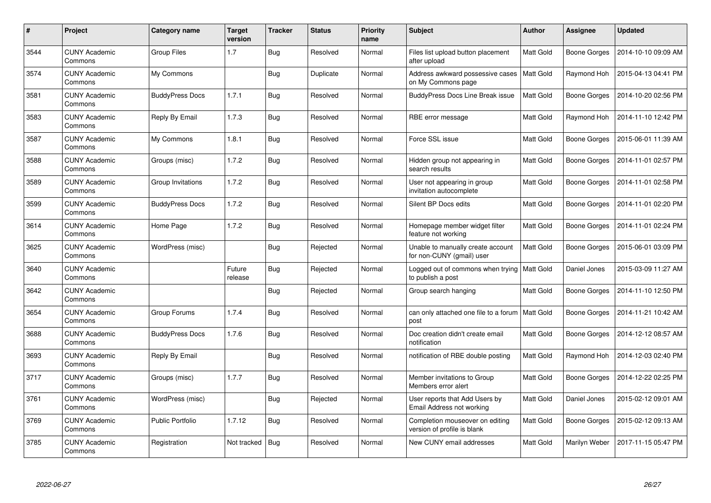| $\#$ | Project                         | Category name          | <b>Target</b><br>version | <b>Tracker</b> | Status    | <b>Priority</b><br>name | <b>Subject</b>                                                 | <b>Author</b>    | <b>Assignee</b>     | <b>Updated</b>      |
|------|---------------------------------|------------------------|--------------------------|----------------|-----------|-------------------------|----------------------------------------------------------------|------------------|---------------------|---------------------|
| 3544 | <b>CUNY Academic</b><br>Commons | <b>Group Files</b>     | 1.7                      | <b>Bug</b>     | Resolved  | Normal                  | Files list upload button placement<br>after upload             | <b>Matt Gold</b> | <b>Boone Gorges</b> | 2014-10-10 09:09 AM |
| 3574 | <b>CUNY Academic</b><br>Commons | My Commons             |                          | Bug            | Duplicate | Normal                  | Address awkward possessive cases<br>on My Commons page         | <b>Matt Gold</b> | Raymond Hoh         | 2015-04-13 04:41 PM |
| 3581 | <b>CUNY Academic</b><br>Commons | <b>BuddyPress Docs</b> | 1.7.1                    | <b>Bug</b>     | Resolved  | Normal                  | <b>BuddyPress Docs Line Break issue</b>                        | <b>Matt Gold</b> | <b>Boone Gorges</b> | 2014-10-20 02:56 PM |
| 3583 | <b>CUNY Academic</b><br>Commons | Reply By Email         | 1.7.3                    | <b>Bug</b>     | Resolved  | Normal                  | RBE error message                                              | Matt Gold        | Raymond Hoh         | 2014-11-10 12:42 PM |
| 3587 | <b>CUNY Academic</b><br>Commons | My Commons             | 1.8.1                    | <b>Bug</b>     | Resolved  | Normal                  | Force SSL issue                                                | <b>Matt Gold</b> | <b>Boone Gorges</b> | 2015-06-01 11:39 AM |
| 3588 | <b>CUNY Academic</b><br>Commons | Groups (misc)          | 1.7.2                    | <b>Bug</b>     | Resolved  | Normal                  | Hidden group not appearing in<br>search results                | Matt Gold        | <b>Boone Gorges</b> | 2014-11-01 02:57 PM |
| 3589 | <b>CUNY Academic</b><br>Commons | Group Invitations      | 1.7.2                    | <b>Bug</b>     | Resolved  | Normal                  | User not appearing in group<br>invitation autocomplete         | Matt Gold        | <b>Boone Gorges</b> | 2014-11-01 02:58 PM |
| 3599 | <b>CUNY Academic</b><br>Commons | <b>BuddyPress Docs</b> | 1.7.2                    | <b>Bug</b>     | Resolved  | Normal                  | Silent BP Docs edits                                           | Matt Gold        | <b>Boone Gorges</b> | 2014-11-01 02:20 PM |
| 3614 | <b>CUNY Academic</b><br>Commons | Home Page              | 1.7.2                    | <b>Bug</b>     | Resolved  | Normal                  | Homepage member widget filter<br>feature not working           | <b>Matt Gold</b> | Boone Gorges        | 2014-11-01 02:24 PM |
| 3625 | <b>CUNY Academic</b><br>Commons | WordPress (misc)       |                          | <b>Bug</b>     | Rejected  | Normal                  | Unable to manually create account<br>for non-CUNY (gmail) user | Matt Gold        | <b>Boone Gorges</b> | 2015-06-01 03:09 PM |
| 3640 | <b>CUNY Academic</b><br>Commons |                        | Future<br>release        | <b>Bug</b>     | Rejected  | Normal                  | Logged out of commons when trying<br>to publish a post         | Matt Gold        | Daniel Jones        | 2015-03-09 11:27 AM |
| 3642 | <b>CUNY Academic</b><br>Commons |                        |                          | <b>Bug</b>     | Rejected  | Normal                  | Group search hanging                                           | <b>Matt Gold</b> | <b>Boone Gorges</b> | 2014-11-10 12:50 PM |
| 3654 | <b>CUNY Academic</b><br>Commons | Group Forums           | 1.7.4                    | Bug            | Resolved  | Normal                  | can only attached one file to a forum   Matt Gold<br>post      |                  | Boone Gorges        | 2014-11-21 10:42 AM |
| 3688 | <b>CUNY Academic</b><br>Commons | <b>BuddyPress Docs</b> | 1.7.6                    | <b>Bug</b>     | Resolved  | Normal                  | Doc creation didn't create email<br>notification               | Matt Gold        | <b>Boone Gorges</b> | 2014-12-12 08:57 AM |
| 3693 | <b>CUNY Academic</b><br>Commons | Reply By Email         |                          | <b>Bug</b>     | Resolved  | Normal                  | notification of RBE double posting                             | Matt Gold        | Raymond Hoh         | 2014-12-03 02:40 PM |
| 3717 | <b>CUNY Academic</b><br>Commons | Groups (misc)          | 1.7.7                    | <b>Bug</b>     | Resolved  | Normal                  | Member invitations to Group<br>Members error alert             | Matt Gold        | <b>Boone Gorges</b> | 2014-12-22 02:25 PM |
| 3761 | <b>CUNY Academic</b><br>Commons | WordPress (misc)       |                          | <b>Bug</b>     | Rejected  | Normal                  | User reports that Add Users by<br>Email Address not working    | <b>Matt Gold</b> | Daniel Jones        | 2015-02-12 09:01 AM |
| 3769 | <b>CUNY Academic</b><br>Commons | Public Portfolio       | 1.7.12                   | <b>Bug</b>     | Resolved  | Normal                  | Completion mouseover on editing<br>version of profile is blank | Matt Gold        | <b>Boone Gorges</b> | 2015-02-12 09:13 AM |
| 3785 | <b>CUNY Academic</b><br>Commons | Registration           | Not tracked              | <b>Bug</b>     | Resolved  | Normal                  | New CUNY email addresses                                       | Matt Gold        | Marilyn Weber       | 2017-11-15 05:47 PM |